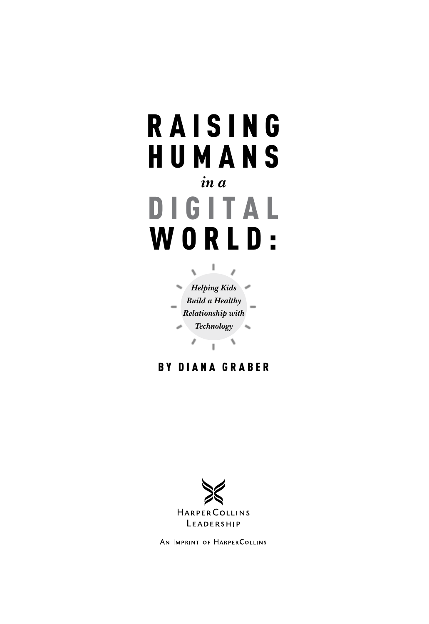# RAISING HUMANS

# *in a* DIGITAL WORLD:



#### BY DIANA GRABER



AN IMPRINT OF HARPERCOLLINS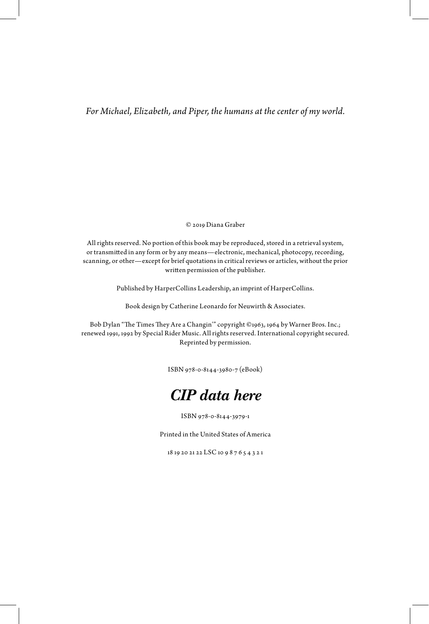#### *For Michael, Elizabeth, and Piper, the humans at the center of my world.*

© 2019 Diana Graber

All rights reserved. No portion of this book may be reproduced, stored in a retrieval system, or transmitted in any form or by any means—electronic, mechanical, photocopy, recording, scanning, or other—except for brief quotations in critical reviews or articles, without the prior written permission of the publisher.

Published by HarperCollins Leadership, an imprint of HarperCollins.

Book design by Catherine Leonardo for Neuwirth & Associates.

Bob Dylan "The Times They Are a Changin'" copyright ©1963, 1964 by Warner Bros. Inc.; renewed 1991, 1992 by Special Rider Music. All rights reserved. International copyright secured. Reprinted by permission.

ISBN 978-0-8144-3980-7 (eBook)

# *CIP data here*

ISBN 978-0-8144-3979-1

Printed in the United States of America

18 19 20 21 22 LSC 10 9 8 7 6 5 4 3 2 1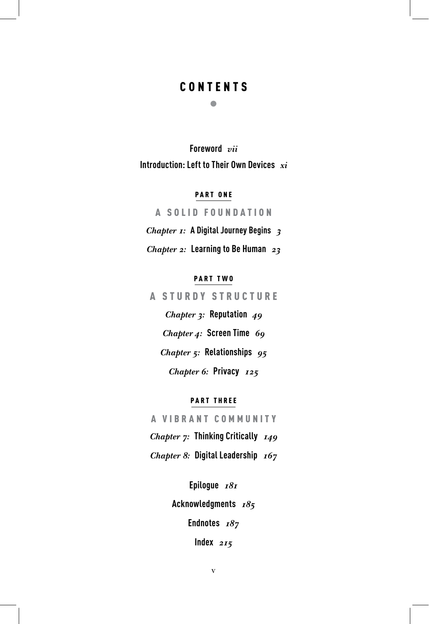### CONTENTS

●

**Foreword** *vii* **Introduction: Left to Their Own Devices** *xi*

#### PART ONE

A SOLID FOUNDATION

*Chapter 1:* **A Digital Journey Begins** *3*

*Chapter 2:* **Learning to Be Human** *23*

#### PART TWO

A STURDY STRUCTURE

*Chapter 3:* **Reputation** *49 Chapter 4:* **Screen Time** *69 Chapter 5:* **Relationships** *95 Chapter 6:* **Privacy** *125*

#### PART THREE

A VIBRANT COMMUNITY *Chapter 7:* **Thinking Critically** *149 Chapter 8:* **Digital Leadership** *167*

> **Epilogue** *181* **Acknowledgments** *185* **Endnotes** *187* **Index** *215*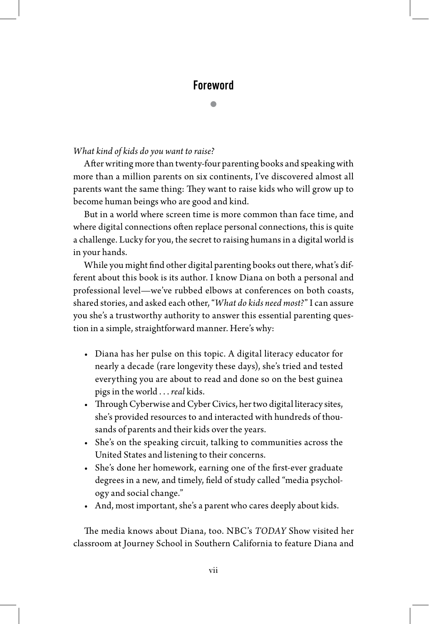#### **Foreword**

●

#### *What kind of kids do you want to raise?*

After writing more than twenty-four parenting books and speaking with more than a million parents on six continents, I've discovered almost all parents want the same thing: They want to raise kids who will grow up to become human beings who are good and kind.

But in a world where screen time is more common than face time, and where digital connections often replace personal connections, this is quite a challenge. Lucky for you, the secret to raising humans in a digital world is in your hands.

While you might find other digital parenting books out there, what's different about this book is its author. I know Diana on both a personal and professional level—we've rubbed elbows at conferences on both coasts, shared stories, and asked each other, "*What do kids need most?*" I can assure you she's a trustworthy authority to answer this essential parenting question in a simple, straightforward manner. Here's why:

- Diana has her pulse on this topic. A digital literacy educator for nearly a decade (rare longevity these days), she's tried and tested everything you are about to read and done so on the best guinea pigs in the world . . . *real* kids.
- Through Cyberwise and Cyber Civics, her two digital literacy sites, she's provided resources to and interacted with hundreds of thousands of parents and their kids over the years.
- She's on the speaking circuit, talking to communities across the United States and listening to their concerns.
- She's done her homework, earning one of the first-ever graduate degrees in a new, and timely, field of study called "media psychology and social change."
- And, most important, she's a parent who cares deeply about kids.

The media knows about Diana, too. NBC's *TODAY* Show visited her classroom at Journey School in Southern California to feature Diana and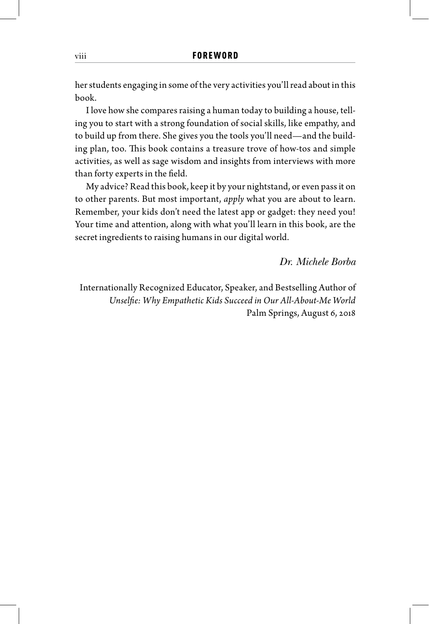her students engaging in some of the very activities you'll read about in this book.

I love how she compares raising a human today to building a house, telling you to start with a strong foundation of social skills, like empathy, and to build up from there. She gives you the tools you'll need—and the building plan, too. This book contains a treasure trove of how-tos and simple activities, as well as sage wisdom and insights from interviews with more than forty experts in the field.

My advice? Read this book, keep it by your nightstand, or even pass it on to other parents. But most important, *apply* what you are about to learn. Remember, your kids don't need the latest app or gadget: they need you! Your time and attention, along with what you'll learn in this book, are the secret ingredients to raising humans in our digital world.

*Dr. Michele Borba*

Internationally Recognized Educator, Speaker, and Bestselling Author of *Unselfie: Why Empathetic Kids Succeed in Our All-About-Me World* Palm Springs, August 6, 2018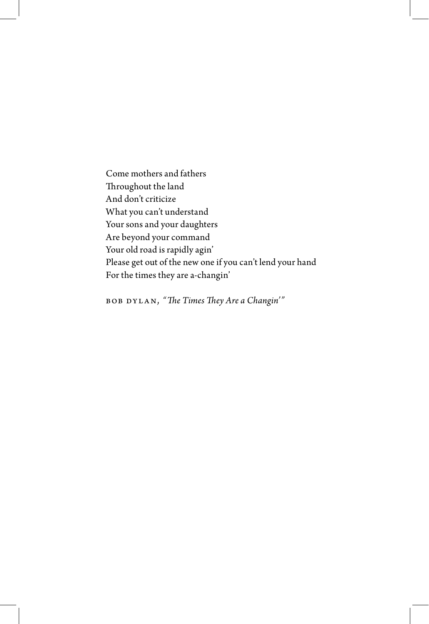Come mothers and fathers Throughout the land And don't criticize What you can't understand Your sons and your daughters Are beyond your command Your old road is rapidly agin' Please get out of the new one if you can't lend your hand For the times they are a-changin'

bob dylan, *"The Times They Are a Changin'"*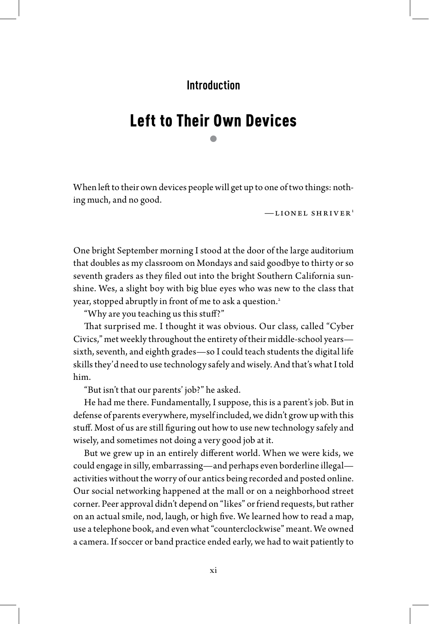#### **Introduction**

# Left to Their Own Devices ●

When left to their own devices people will get up to one of two things: nothing much, and no good.

 $-$ LIONEL SHRIVER<sup>1</sup>

One bright September morning I stood at the door of the large auditorium that doubles as my classroom on Mondays and said goodbye to thirty or so seventh graders as they filed out into the bright Southern California sunshine. Wes, a slight boy with big blue eyes who was new to the class that year, stopped abruptly in front of me to ask a question.<sup>2</sup>

"Why are you teaching us this stuff?"

That surprised me. I thought it was obvious. Our class, called "Cyber Civics," met weekly throughout the entirety of their middle-school years sixth, seventh, and eighth grades—so I could teach students the digital life skills they'd need to use technology safely and wisely. And that's what I told him.

"But isn't that our parents' job?" he asked.

He had me there. Fundamentally, I suppose, this is a parent's job. But in defense of parents everywhere, myself included, we didn't grow up with this stuff. Most of us are still figuring out how to use new technology safely and wisely, and sometimes not doing a very good job at it.

But we grew up in an entirely different world. When we were kids, we could engage in silly, embarrassing—and perhaps even borderline illegal activities without the worry of our antics being recorded and posted online. Our social networking happened at the mall or on a neighborhood street corner. Peer approval didn't depend on "likes" or friend requests, but rather on an actual smile, nod, laugh, or high five. We learned how to read a map, use a telephone book, and even what "counterclockwise" meant. We owned a camera. If soccer or band practice ended early, we had to wait patiently to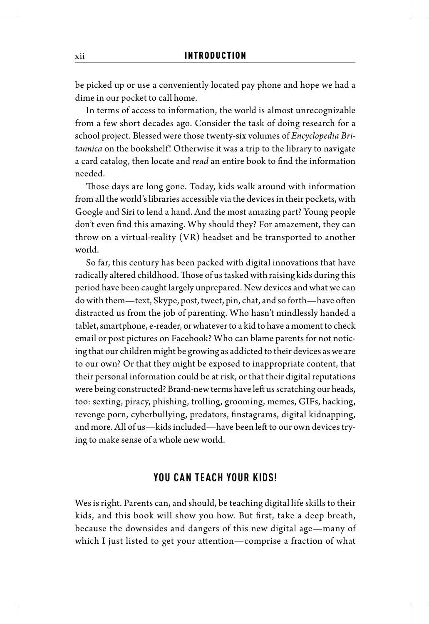be picked up or use a conveniently located pay phone and hope we had a dime in our pocket to call home.

In terms of access to information, the world is almost unrecognizable from a few short decades ago. Consider the task of doing research for a school project. Blessed were those twenty-six volumes of *Encyclopedia Britannica* on the bookshelf! Otherwise it was a trip to the library to navigate a card catalog, then locate and *read* an entire book to find the information needed.

Those days are long gone. Today, kids walk around with information from all the world's libraries accessible via the devices in their pockets, with Google and Siri to lend a hand. And the most amazing part? Young people don't even find this amazing. Why should they? For amazement, they can throw on a virtual-reality (VR) headset and be transported to another world.

So far, this century has been packed with digital innovations that have radically altered childhood. Those of us tasked with raising kids during this period have been caught largely unprepared. New devices and what we can do with them—text, Skype, post, tweet, pin, chat, and so forth—have often distracted us from the job of parenting. Who hasn't mindlessly handed a tablet, smartphone, e-reader, or whatever to a kid to have a moment to check email or post pictures on Facebook? Who can blame parents for not noticing that our children might be growing as addicted to their devices as we are to our own? Or that they might be exposed to inappropriate content, that their personal information could be at risk, or that their digital reputations were being constructed? Brand-new terms have left us scratching our heads, too: sexting, piracy, phishing, trolling, grooming, memes, GIFs, hacking, revenge porn, cyberbullying, predators, finstagrams, digital kidnapping, and more. All of us—kids included—have been left to our own devices trying to make sense of a whole new world.

#### **YOU CAN TEACH YOUR KIDS!**

Wes is right. Parents can, and should, be teaching digital life skills to their kids, and this book will show you how. But first, take a deep breath, because the downsides and dangers of this new digital age—many of which I just listed to get your attention—comprise a fraction of what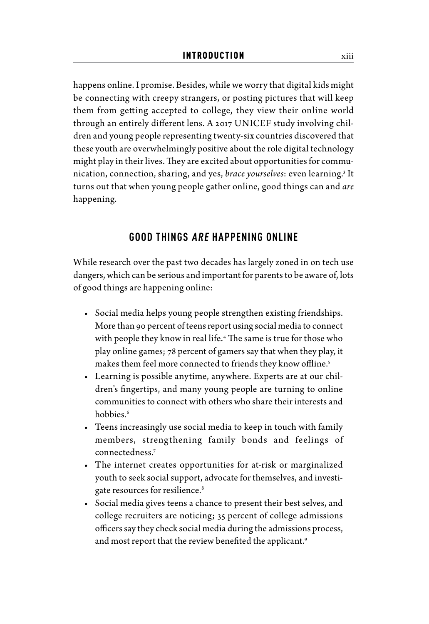happens online. I promise. Besides, while we worry that digital kids might be connecting with creepy strangers, or posting pictures that will keep them from getting accepted to college, they view their online world through an entirely different lens. A 2017 UNICEF study involving children and young people representing twenty-six countries discovered that these youth are overwhelmingly positive about the role digital technology might play in their lives. They are excited about opportunities for communication, connection, sharing, and yes, *brace yourselves*: even learning.3 It turns out that when young people gather online, good things can and *are* happening.

#### **GOOD THINGS ARE HAPPENING ONLINE**

While research over the past two decades has largely zoned in on tech use dangers, which can be serious and important for parents to be aware of, lots of good things are happening online:

- Social media helps young people strengthen existing friendships. More than 90 percent of teens report using social media to connect with people they know in real life.4 The same is true for those who play online games; 78 percent of gamers say that when they play, it makes them feel more connected to friends they know offline.<sup>5</sup>
- Learning is possible anytime, anywhere. Experts are at our children's fingertips, and many young people are turning to online communities to connect with others who share their interests and hobbies.<sup>6</sup>
- Teens increasingly use social media to keep in touch with family members, strengthening family bonds and feelings of connectedness.7
- The internet creates opportunities for at-risk or marginalized youth to seek social support, advocate for themselves, and investigate resources for resilience.<sup>8</sup>
- Social media gives teens a chance to present their best selves, and college recruiters are noticing; 35 percent of college admissions officers say they check social media during the admissions process, and most report that the review benefited the applicant.<sup>9</sup>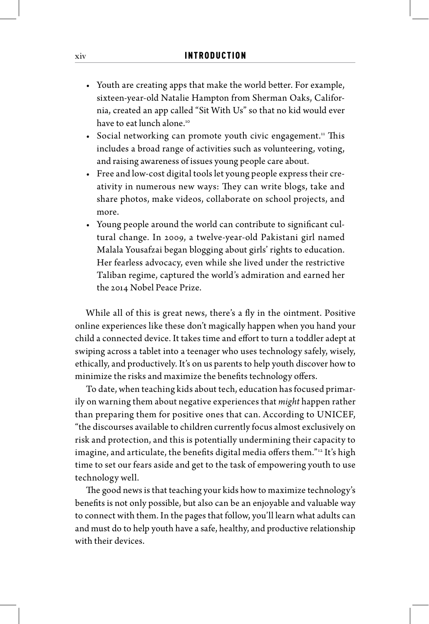- Youth are creating apps that make the world better. For example, sixteen-year-old Natalie Hampton from Sherman Oaks, California, created an app called "Sit With Us" so that no kid would ever have to eat lunch alone.<sup>10</sup>
- Social networking can promote youth civic engagement.<sup>11</sup> This includes a broad range of activities such as volunteering, voting, and raising awareness of issues young people care about.
- Free and low-cost digital tools let young people express their creativity in numerous new ways: They can write blogs, take and share photos, make videos, collaborate on school projects, and more.
- Young people around the world can contribute to significant cultural change. In 2009, a twelve-year-old Pakistani girl named Malala Yousafzai began blogging about girls' rights to education. Her fearless advocacy, even while she lived under the restrictive Taliban regime, captured the world's admiration and earned her the 2014 Nobel Peace Prize.

While all of this is great news, there's a fly in the ointment. Positive online experiences like these don't magically happen when you hand your child a connected device. It takes time and effort to turn a toddler adept at swiping across a tablet into a teenager who uses technology safely, wisely, ethically, and productively. It's on us parents to help youth discover how to minimize the risks and maximize the benefits technology offers.

To date, when teaching kids about tech, education has focused primarily on warning them about negative experiences that *might* happen rather than preparing them for positive ones that can. According to UNICEF, "the discourses available to children currently focus almost exclusively on risk and protection, and this is potentially undermining their capacity to imagine, and articulate, the benefits digital media offers them."12 It's high time to set our fears aside and get to the task of empowering youth to use technology well.

The good news is that teaching your kids how to maximize technology's benefits is not only possible, but also can be an enjoyable and valuable way to connect with them. In the pages that follow, you'll learn what adults can and must do to help youth have a safe, healthy, and productive relationship with their devices.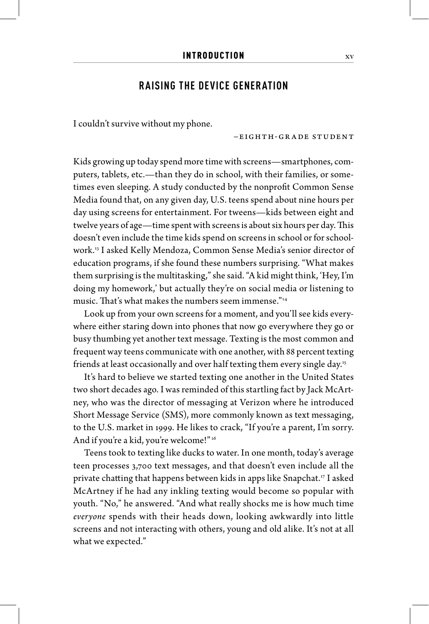#### **RAISING THE DEVICE GENERATION**

I couldn't survive without my phone.

#### –eighth-grade student

Kids growing up today spend more time with screens—smartphones, computers, tablets, etc.—than they do in school, with their families, or sometimes even sleeping. A study conducted by the nonprofit Common Sense Media found that, on any given day, U.S. teens spend about nine hours per day using screens for entertainment. For tweens—kids between eight and twelve years of age—time spent with screens is about six hours per day. This doesn't even include the time kids spend on screens in school or for schoolwork.13 I asked Kelly Mendoza, Common Sense Media's senior director of education programs, if she found these numbers surprising. "What makes them surprising is the multitasking," she said. "A kid might think, 'Hey, I'm doing my homework,' but actually they're on social media or listening to music. That's what makes the numbers seem immense."14

Look up from your own screens for a moment, and you'll see kids everywhere either staring down into phones that now go everywhere they go or busy thumbing yet another text message. Texting is the most common and frequent way teens communicate with one another, with 88 percent texting friends at least occasionally and over half texting them every single day.<sup>15</sup>

It's hard to believe we started texting one another in the United States two short decades ago. I was reminded of this startling fact by Jack McArtney, who was the director of messaging at Verizon where he introduced Short Message Service (SMS), more commonly known as text messaging, to the U.S. market in 1999. He likes to crack, "If you're a parent, I'm sorry. And if you're a kid, you're welcome!" 16

Teens took to texting like ducks to water. In one month, today's average teen processes 3,700 text messages, and that doesn't even include all the private chatting that happens between kids in apps like Snapchat.<sup>17</sup> I asked McArtney if he had any inkling texting would become so popular with youth. "No," he answered. "And what really shocks me is how much time *everyone* spends with their heads down, looking awkwardly into little screens and not interacting with others, young and old alike. It's not at all what we expected."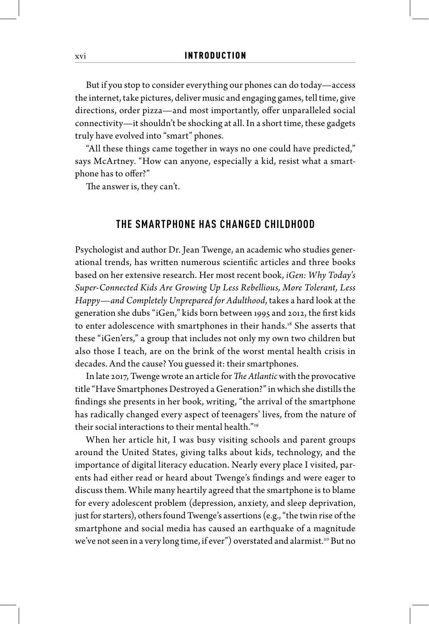But if you stop to consider everything our phones can do today—access the internet, take pictures, deliver music and engaging games, tell time, give directions, order pizza—and most importantly, offer unparalleled social connectivity—it shouldn't be shocking at all. In a short time, these gadgets truly have evolved into "smart" phones.

"All these things came together in ways no one could have predicted," says McArtney. "How can anyone, especially a kid, resist what a smartphone has to offer?"

The answer is, they can't.

#### **THE SMARTPHONE HAS CHANGED CHILDHOOD**

Psychologist and author Dr. Jean Twenge, an academic who studies generational trends, has written numerous scientific articles and three books based on her extensive research. Her most recent book, *iGen: Why Today's Super-Connected Kids Are Growing Up Less Rebellious, More Tolerant, Less Happy—and Completely Unprepared for Adulthood*, takes a hard look at the generation she dubs "iGen," kids born between 1995 and 2012, the first kids to enter adolescence with smartphones in their hands.<sup>18</sup> She asserts that these "iGen'ers," a group that includes not only my own two children but also those I teach, are on the brink of the worst mental health crisis in decades. And the cause? You guessed it: their smartphones.

In late 2017, Twenge wrote an article for *The Atlantic* with the provocative title "Have Smartphones Destroyed a Generation?" in which she distills the findings she presents in her book, writing, "the arrival of the smartphone has radically changed every aspect of teenagers' lives, from the nature of their social interactions to their mental health."19

When her article hit, I was busy visiting schools and parent groups around the United States, giving talks about kids, technology, and the importance of digital literacy education. Nearly every place I visited, parents had either read or heard about Twenge's findings and were eager to discuss them. While many heartily agreed that the smartphone is to blame for every adolescent problem (depression, anxiety, and sleep deprivation, just for starters), others found Twenge's assertions (e.g., "the twin rise of the smartphone and social media has caused an earthquake of a magnitude we've not seen in a very long time, if ever") overstated and alarmist.<sup>20</sup> But no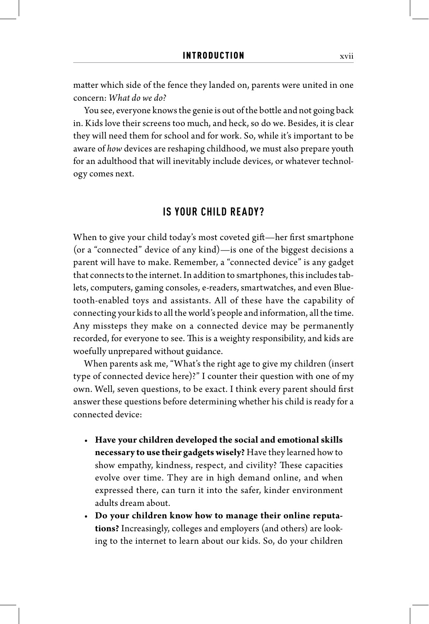matter which side of the fence they landed on, parents were united in one concern: *What do we do?*

You see, everyone knows the genie is out of the bottle and not going back in. Kids love their screens too much, and heck, so do we. Besides, it is clear they will need them for school and for work. So, while it's important to be aware of *how* devices are reshaping childhood, we must also prepare youth for an adulthood that will inevitably include devices, or whatever technology comes next.

#### **IS YOUR CHILD READY?**

When to give your child today's most coveted gift—her first smartphone (or a "connected" device of any kind)—is one of the biggest decisions a parent will have to make. Remember, a "connected device" is any gadget that connects to the internet. In addition to smartphones, this includes tablets, computers, gaming consoles, e-readers, smartwatches, and even Bluetooth-enabled toys and assistants. All of these have the capability of connecting your kids to all the world's people and information, all the time. Any missteps they make on a connected device may be permanently recorded, for everyone to see. This is a weighty responsibility, and kids are woefully unprepared without guidance.

When parents ask me, "What's the right age to give my children (insert type of connected device here)?" I counter their question with one of my own. Well, seven questions, to be exact. I think every parent should first answer these questions before determining whether his child is ready for a connected device:

- **Have your children developed the social and emotional skills necessary to use their gadgets wisely?** Have they learned how to show empathy, kindness, respect, and civility? These capacities evolve over time. They are in high demand online, and when expressed there, can turn it into the safer, kinder environment adults dream about.
- **Do your children know how to manage their online reputations?** Increasingly, colleges and employers (and others) are looking to the internet to learn about our kids. So, do your children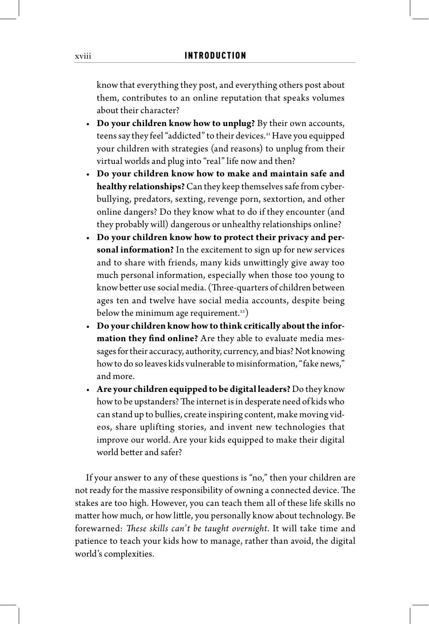know that everything they post, and everything others post about them, contributes to an online reputation that speaks volumes about their character?

- **Do your children know how to unplug?** By their own accounts, teens say they feel "addicted" to their devices.<sup>21</sup> Have you equipped your children with strategies (and reasons) to unplug from their virtual worlds and plug into "real" life now and then?
- **Do your children know how to make and maintain safe and healthy relationships?** Can they keep themselves safe from cyberbullying, predators, sexting, revenge porn, sextortion, and other online dangers? Do they know what to do if they encounter (and they probably will) dangerous or unhealthy relationships online?
- **Do your children know how to protect their privacy and personal information?** In the excitement to sign up for new services and to share with friends, many kids unwittingly give away too much personal information, especially when those too young to know better use social media. (Three-quarters of children between ages ten and twelve have social media accounts, despite being below the minimum age requirement.<sup>22</sup>)
- **Do your children know how to think critically about the information they find online?** Are they able to evaluate media messages for their accuracy, authority, currency, and bias? Not knowing how to do so leaves kids vulnerable to misinformation, "fake news," and more.
- **Are your children equipped to be digital leaders?** Do they know how to be upstanders? The internet is in desperate need of kids who can stand up to bullies, create inspiring content, make moving videos, share uplifting stories, and invent new technologies that improve our world. Are your kids equipped to make their digital world better and safer?

If your answer to any of these questions is "no," then your children are not ready for the massive responsibility of owning a connected device. The stakes are too high. However, you can teach them all of these life skills no matter how much, or how little, you personally know about technology. Be forewarned: *These skills can't be taught overnight*. It will take time and patience to teach your kids how to manage, rather than avoid, the digital world's complexities.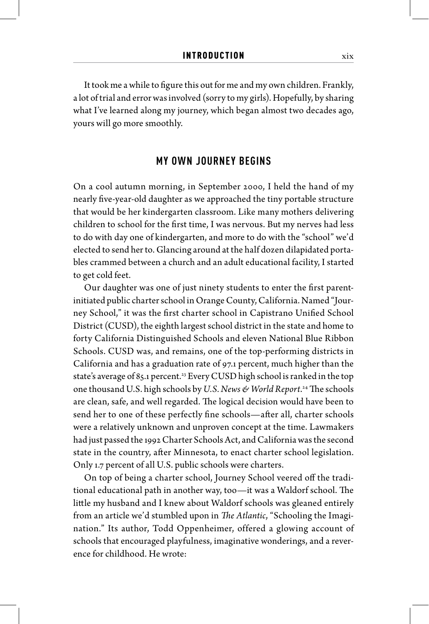It took me a while to figure this out for me and my own children. Frankly, a lot of trial and error was involved (sorry to my girls). Hopefully, by sharing what I've learned along my journey, which began almost two decades ago, yours will go more smoothly.

#### **MY OWN JOURNEY BEGINS**

On a cool autumn morning, in September 2000, I held the hand of my nearly five-year-old daughter as we approached the tiny portable structure that would be her kindergarten classroom. Like many mothers delivering children to school for the first time, I was nervous. But my nerves had less to do with day one of kindergarten, and more to do with the "school" we'd elected to send her to. Glancing around at the half dozen dilapidated portables crammed between a church and an adult educational facility, I started to get cold feet.

Our daughter was one of just ninety students to enter the first parentinitiated public charter school in Orange County, California. Named "Journey School," it was the first charter school in Capistrano Unified School District (CUSD), the eighth largest school district in the state and home to forty California Distinguished Schools and eleven National Blue Ribbon Schools. CUSD was, and remains, one of the top-performing districts in California and has a graduation rate of 97.1 percent, much higher than the state's average of 85.1 percent.<sup>23</sup> Every CUSD high school is ranked in the top one thousand U.S. high schools by *U.S. News & World Report*. 24 The schools are clean, safe, and well regarded. The logical decision would have been to send her to one of these perfectly fine schools—after all, charter schools were a relatively unknown and unproven concept at the time. Lawmakers had just passed the 1992 Charter Schools Act, and California was the second state in the country, after Minnesota, to enact charter school legislation. Only 1.7 percent of all U.S. public schools were charters.

On top of being a charter school, Journey School veered off the traditional educational path in another way, too—it was a Waldorf school. The little my husband and I knew about Waldorf schools was gleaned entirely from an article we'd stumbled upon in *The Atlantic*, "Schooling the Imagination." Its author, Todd Oppenheimer, offered a glowing account of schools that encouraged playfulness, imaginative wonderings, and a reverence for childhood. He wrote: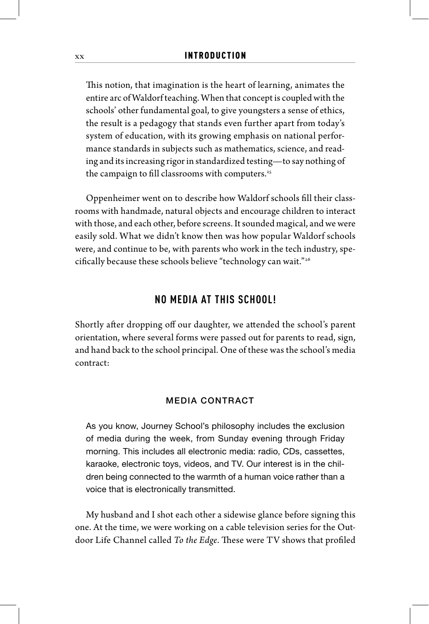This notion, that imagination is the heart of learning, animates the entire arc of Waldorf teaching. When that concept is coupled with the schools' other fundamental goal, to give youngsters a sense of ethics, the result is a pedagogy that stands even further apart from today's system of education, with its growing emphasis on national performance standards in subjects such as mathematics, science, and reading and its increasing rigor in standardized testing—to say nothing of the campaign to fill classrooms with computers.<sup>25</sup>

Oppenheimer went on to describe how Waldorf schools fill their classrooms with handmade, natural objects and encourage children to interact with those, and each other, before screens. It sounded magical, and we were easily sold. What we didn't know then was how popular Waldorf schools were, and continue to be, with parents who work in the tech industry, specifically because these schools believe "technology can wait."26

#### **NO MEDIA AT THIS SCHOOL!**

Shortly after dropping off our daughter, we attended the school's parent orientation, where several forms were passed out for parents to read, sign, and hand back to the school principal. One of these was the school's media contract:

#### MEDIA CONTRACT

As you know, Journey School's philosophy includes the exclusion of media during the week, from Sunday evening through Friday morning. This includes all electronic media: radio, CDs, cassettes, karaoke, electronic toys, videos, and TV. Our interest is in the children being connected to the warmth of a human voice rather than a voice that is electronically transmitted.

My husband and I shot each other a sidewise glance before signing this one. At the time, we were working on a cable television series for the Outdoor Life Channel called *To the Edge*. These were TV shows that profiled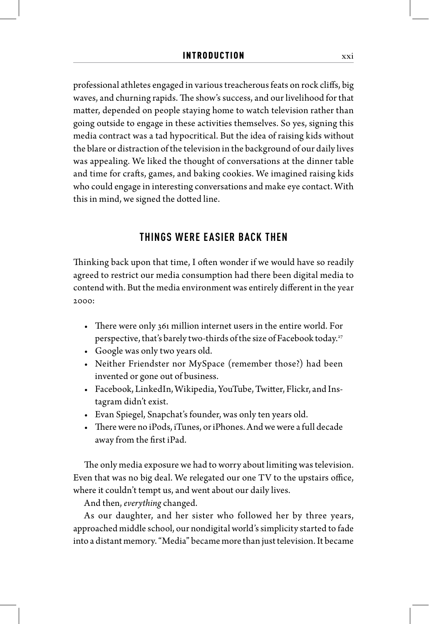professional athletes engaged in various treacherous feats on rock cliffs, big waves, and churning rapids. The show's success, and our livelihood for that matter, depended on people staying home to watch television rather than going outside to engage in these activities themselves. So yes, signing this media contract was a tad hypocritical. But the idea of raising kids without the blare or distraction of the television in the background of our daily lives was appealing. We liked the thought of conversations at the dinner table and time for crafts, games, and baking cookies. We imagined raising kids who could engage in interesting conversations and make eye contact. With this in mind, we signed the dotted line.

#### **THINGS WERE EASIER BACK THEN**

Thinking back upon that time, I often wonder if we would have so readily agreed to restrict our media consumption had there been digital media to contend with. But the media environment was entirely different in the year 2000:

- There were only 361 million internet users in the entire world. For perspective, that's barely two-thirds of the size of Facebook today.27
- Google was only two years old.
- Neither Friendster nor MySpace (remember those?) had been invented or gone out of business.
- Facebook, LinkedIn, Wikipedia, YouTube, Twitter, Flickr, and Instagram didn't exist.
- Evan Spiegel, Snapchat's founder, was only ten years old.
- There were no iPods, iTunes, or iPhones. And we were a full decade away from the first iPad.

The only media exposure we had to worry about limiting was television. Even that was no big deal. We relegated our one TV to the upstairs office, where it couldn't tempt us, and went about our daily lives.

And then, *everything* changed.

As our daughter, and her sister who followed her by three years, approached middle school, our nondigital world's simplicity started to fade into a distant memory. "Media" became more than just television. It became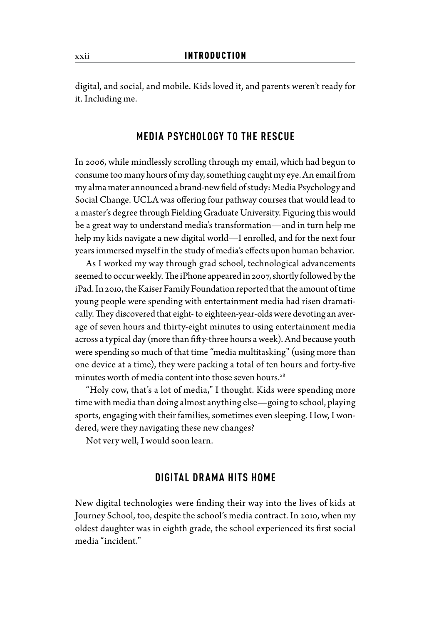digital, and social, and mobile. Kids loved it, and parents weren't ready for it. Including me.

#### **MEDIA PSYCHOLOGY TO THE RESCUE**

In 2006, while mindlessly scrolling through my email, which had begun to consume too many hours of my day, something caught my eye. An email from my alma mater announced a brand-new field of study: Media Psychology and Social Change. UCLA was offering four pathway courses that would lead to a master's degree through Fielding Graduate University. Figuring this would be a great way to understand media's transformation—and in turn help me help my kids navigate a new digital world—I enrolled, and for the next four years immersed myself in the study of media's effects upon human behavior.

As I worked my way through grad school, technological advancements seemed to occur weekly. The iPhone appeared in 2007, shortly followed by the iPad. In 2010, the Kaiser Family Foundation reported that the amount of time young people were spending with entertainment media had risen dramatically. They discovered that eight- to eighteen-year-olds were devoting an average of seven hours and thirty-eight minutes to using entertainment media across a typical day (more than fifty-three hours a week). And because youth were spending so much of that time "media multitasking" (using more than one device at a time), they were packing a total of ten hours and forty-five minutes worth of media content into those seven hours.<sup>28</sup>

"Holy cow, that's a lot of media," I thought. Kids were spending more time with media than doing almost anything else—going to school, playing sports, engaging with their families, sometimes even sleeping. How, I wondered, were they navigating these new changes?

Not very well, I would soon learn.

#### **DIGITAL DRAMA HITS HOME**

New digital technologies were finding their way into the lives of kids at Journey School, too, despite the school's media contract. In 2010, when my oldest daughter was in eighth grade, the school experienced its first social media "incident."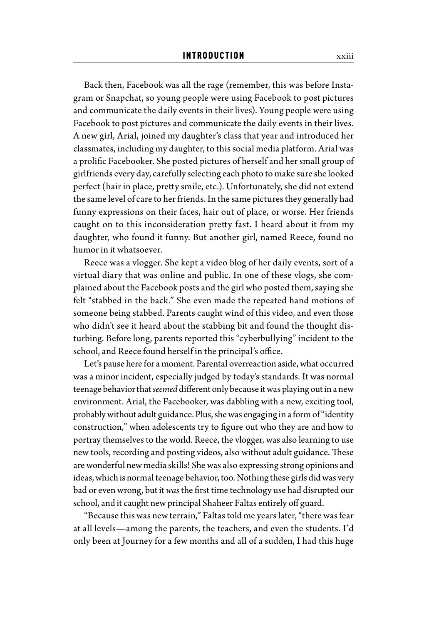Back then, Facebook was all the rage (remember, this was before Instagram or Snapchat, so young people were using Facebook to post pictures and communicate the daily events in their lives). Young people were using Facebook to post pictures and communicate the daily events in their lives. A new girl, Arial, joined my daughter's class that year and introduced her classmates, including my daughter, to this social media platform. Arial was a prolific Facebooker. She posted pictures of herself and her small group of girlfriends every day, carefully selecting each photo to make sure she looked perfect (hair in place, pretty smile, etc.). Unfortunately, she did not extend the same level of care to her friends. In the same pictures they generally had funny expressions on their faces, hair out of place, or worse. Her friends caught on to this inconsideration pretty fast. I heard about it from my daughter, who found it funny. But another girl, named Reece, found no humor in it whatsoever.

Reece was a vlogger. She kept a video blog of her daily events, sort of a virtual diary that was online and public. In one of these vlogs, she complained about the Facebook posts and the girl who posted them, saying she felt "stabbed in the back." She even made the repeated hand motions of someone being stabbed. Parents caught wind of this video, and even those who didn't see it heard about the stabbing bit and found the thought disturbing. Before long, parents reported this "cyberbullying" incident to the school, and Reece found herself in the principal's office.

Let's pause here for a moment. Parental overreaction aside, what occurred was a minor incident, especially judged by today's standards. It was normal teenage behavior that *seemed* different only because it was playing out in a new environment. Arial, the Facebooker, was dabbling with a new, exciting tool, probably without adult guidance. Plus, she was engaging in a form of "identity construction," when adolescents try to figure out who they are and how to portray themselves to the world. Reece, the vlogger, was also learning to use new tools, recording and posting videos, also without adult guidance. These are wonderful new media skills! She was also expressing strong opinions and ideas, which is normal teenage behavior, too. Nothing these girls did was very bad or even wrong, but it *was* the first time technology use had disrupted our school, and it caught new principal Shaheer Faltas entirely off guard.

"Because this was new terrain," Faltas told me years later, "there was fear at all levels—among the parents, the teachers, and even the students. I'd only been at Journey for a few months and all of a sudden, I had this huge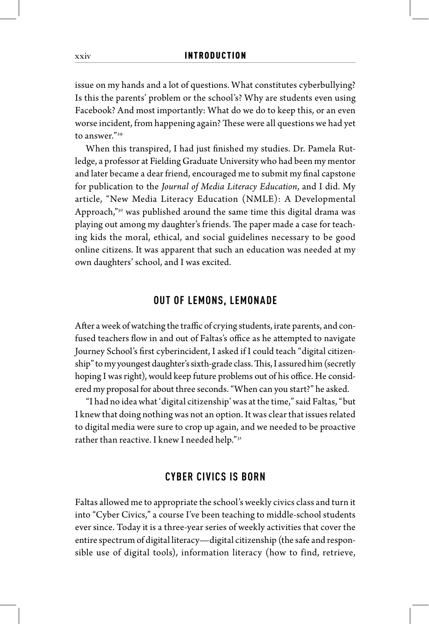issue on my hands and a lot of questions. What constitutes cyberbullying? Is this the parents' problem or the school's? Why are students even using Facebook? And most importantly: What do we do to keep this, or an even worse incident, from happening again? These were all questions we had yet to answer $^{\prime\prime}$ <sup>29</sup>

When this transpired, I had just finished my studies. Dr. Pamela Rutledge, a professor at Fielding Graduate University who had been my mentor and later became a dear friend, encouraged me to submit my final capstone for publication to the *Journal of Media Literacy Education*, and I did. My article, "New Media Literacy Education (NMLE): A Developmental Approach,"<sup>30</sup> was published around the same time this digital drama was playing out among my daughter's friends. The paper made a case for teaching kids the moral, ethical, and social guidelines necessary to be good online citizens. It was apparent that such an education was needed at my own daughters' school, and I was excited.

#### **OUT OF LEMONS, LEMONADE**

After a week of watching the traffic of crying students, irate parents, and confused teachers flow in and out of Faltas's office as he attempted to navigate Journey School's first cyberincident, I asked if I could teach "digital citizenship" to my youngest daughter's sixth-grade class. This, I assured him (secretly hoping I was right), would keep future problems out of his office. He considered my proposal for about three seconds. "When can you start?" he asked.

"I had no idea what 'digital citizenship' was at the time," said Faltas, "but I knew that doing nothing was not an option. It was clear that issues related to digital media were sure to crop up again, and we needed to be proactive rather than reactive. I knew I needed help."<sup>31</sup>

#### **CYBER CIVICS IS BORN**

Faltas allowed me to appropriate the school's weekly civics class and turn it into "Cyber Civics," a course I've been teaching to middle-school students ever since. Today it is a three-year series of weekly activities that cover the entire spectrum of digital literacy—digital citizenship (the safe and responsible use of digital tools), information literacy (how to find, retrieve,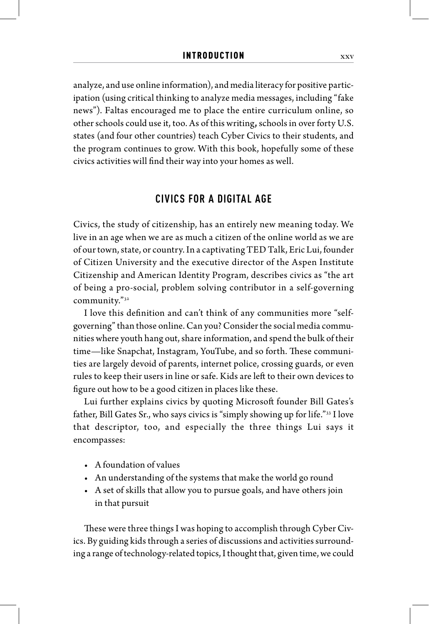analyze, and use online information), and media literacy for positive participation (using critical thinking to analyze media messages, including "fake news"). Faltas encouraged me to place the entire curriculum online, so other schools could use it, too. As of this writing**,** schools in over forty U.S. states (and four other countries) teach Cyber Civics to their students, and the program continues to grow. With this book, hopefully some of these civics activities will find their way into your homes as well.

#### **CIVICS FOR A DIGITAL AGE**

Civics, the study of citizenship, has an entirely new meaning today. We live in an age when we are as much a citizen of the online world as we are of our town, state, or country. In a captivating TED Talk, Eric Lui, founder of Citizen University and the executive director of the Aspen Institute Citizenship and American Identity Program, describes civics as "the art of being a pro-social, problem solving contributor in a self-governing community."32

I love this definition and can't think of any communities more "selfgoverning" than those online. Can you? Consider the social media communities where youth hang out, share information, and spend the bulk of their time—like Snapchat, Instagram, YouTube, and so forth. These communities are largely devoid of parents, internet police, crossing guards, or even rules to keep their users in line or safe. Kids are left to their own devices to figure out how to be a good citizen in places like these.

Lui further explains civics by quoting Microsoft founder Bill Gates's father, Bill Gates Sr., who says civics is "simply showing up for life."33 I love that descriptor, too, and especially the three things Lui says it encompasses:

- A foundation of values
- An understanding of the systems that make the world go round
- A set of skills that allow you to pursue goals, and have others join in that pursuit

These were three things I was hoping to accomplish through Cyber Civics. By guiding kids through a series of discussions and activities surrounding a range of technology-related topics, I thought that, given time, we could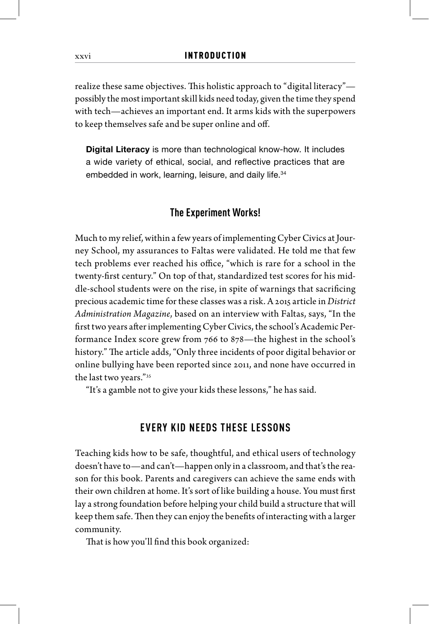realize these same objectives. This holistic approach to "digital literacy" possibly the most important skill kids need today, given the time they spend with tech—achieves an important end. It arms kids with the superpowers to keep themselves safe and be super online and off.

**Digital Literacy** is more than technological know-how. It includes a wide variety of ethical, social, and reflective practices that are embedded in work, learning, leisure, and daily life.<sup>34</sup>

#### **The Experiment Works!**

Much to my relief, within a few years of implementing Cyber Civics at Journey School, my assurances to Faltas were validated. He told me that few tech problems ever reached his office, "which is rare for a school in the twenty-first century." On top of that, standardized test scores for his middle-school students were on the rise, in spite of warnings that sacrificing precious academic time for these classes was a risk. A 2015 article in *District Administration Magazine*, based on an interview with Faltas, says, "In the first two years after implementing Cyber Civics, the school's Academic Performance Index score grew from 766 to 878—the highest in the school's history." The article adds, "Only three incidents of poor digital behavior or online bullying have been reported since 2011, and none have occurred in the last two years."35

"It's a gamble not to give your kids these lessons," he has said.

#### **EVERY KID NEEDS THESE LESSONS**

Teaching kids how to be safe, thoughtful, and ethical users of technology doesn't have to—and can't—happen only in a classroom, and that's the reason for this book. Parents and caregivers can achieve the same ends with their own children at home. It's sort of like building a house. You must first lay a strong foundation before helping your child build a structure that will keep them safe. Then they can enjoy the benefits of interacting with a larger community.

That is how you'll find this book organized: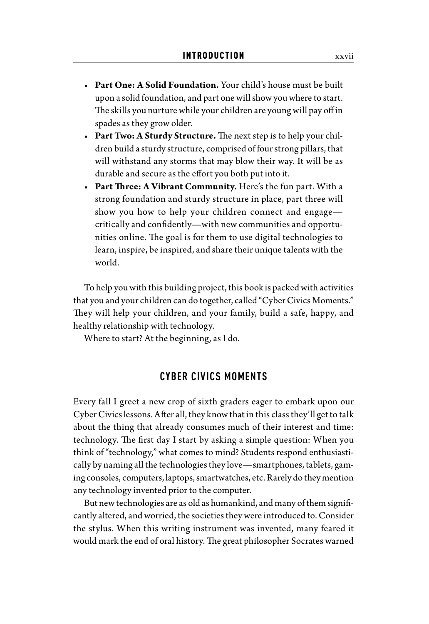- **Part One: A Solid Foundation.** Your child's house must be built upon a solid foundation, and part one will show you where to start. The skills you nurture while your children are young will pay off in spades as they grow older.
- **Part Two: A Sturdy Structure.** The next step is to help your children build a sturdy structure, comprised of four strong pillars, that will withstand any storms that may blow their way. It will be as durable and secure as the effort you both put into it.
- **Part Three: A Vibrant Community.** Here's the fun part. With a strong foundation and sturdy structure in place, part three will show you how to help your children connect and engage critically and confidently—with new communities and opportunities online. The goal is for them to use digital technologies to learn, inspire, be inspired, and share their unique talents with the world.

To help you with this building project, this book is packed with activities that you and your children can do together, called "Cyber Civics Moments." They will help your children, and your family, build a safe, happy, and healthy relationship with technology.

Where to start? At the beginning, as I do.

#### **CYBER CIVICS MOMENTS**

Every fall I greet a new crop of sixth graders eager to embark upon our Cyber Civics lessons. After all, they know that in this class they'll get to talk about the thing that already consumes much of their interest and time: technology. The first day I start by asking a simple question: When you think of "technology," what comes to mind? Students respond enthusiastically by naming all the technologies they love—smartphones, tablets, gaming consoles, computers, laptops, smartwatches, etc. Rarely do they mention any technology invented prior to the computer.

But new technologies are as old as humankind, and many of them significantly altered, and worried, the societies they were introduced to. Consider the stylus. When this writing instrument was invented, many feared it would mark the end of oral history. The great philosopher Socrates warned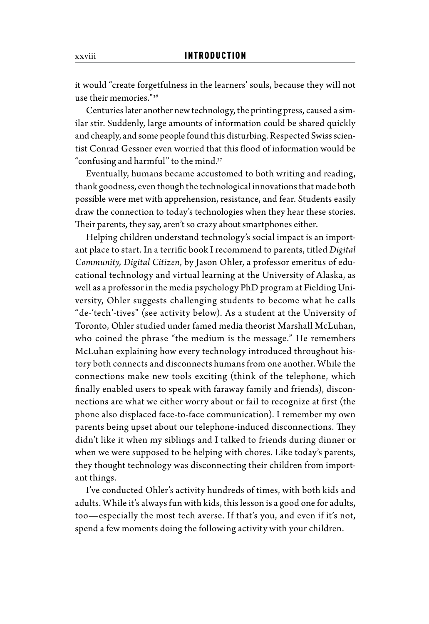it would "create forgetfulness in the learners' souls, because they will not use their memories."36

Centuries later another new technology, the printing press, caused a similar stir. Suddenly, large amounts of information could be shared quickly and cheaply, and some people found this disturbing. Respected Swiss scientist Conrad Gessner even worried that this flood of information would be "confusing and harmful" to the mind.<sup>37</sup>

Eventually, humans became accustomed to both writing and reading, thank goodness, even though the technological innovations that made both possible were met with apprehension, resistance, and fear. Students easily draw the connection to today's technologies when they hear these stories. Their parents, they say, aren't so crazy about smartphones either.

Helping children understand technology's social impact is an important place to start. In a terrific book I recommend to parents, titled *Digital Community, Digital Citizen*, by Jason Ohler, a professor emeritus of educational technology and virtual learning at the University of Alaska, as well as a professor in the media psychology PhD program at Fielding University, Ohler suggests challenging students to become what he calls "de-'tech'-tives" (see activity below). As a student at the University of Toronto, Ohler studied under famed media theorist Marshall McLuhan, who coined the phrase "the medium is the message." He remembers McLuhan explaining how every technology introduced throughout history both connects and disconnects humans from one another. While the connections make new tools exciting (think of the telephone, which finally enabled users to speak with faraway family and friends), disconnections are what we either worry about or fail to recognize at first (the phone also displaced face-to-face communication). I remember my own parents being upset about our telephone-induced disconnections. They didn't like it when my siblings and I talked to friends during dinner or when we were supposed to be helping with chores. Like today's parents, they thought technology was disconnecting their children from important things.

I've conducted Ohler's activity hundreds of times, with both kids and adults. While it's always fun with kids, this lesson is a good one for adults, too—especially the most tech averse. If that's you, and even if it's not, spend a few moments doing the following activity with your children.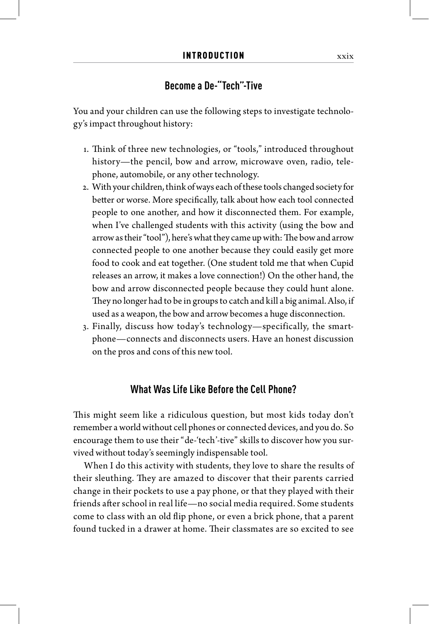#### **Become a De-"Tech"-Tive**

You and your children can use the following steps to investigate technology's impact throughout history:

- 1. Think of three new technologies, or "tools," introduced throughout history—the pencil, bow and arrow, microwave oven, radio, telephone, automobile, or any other technology.
- 2. With your children, think of ways each of these tools changed society for better or worse. More specifically, talk about how each tool connected people to one another, and how it disconnected them. For example, when I've challenged students with this activity (using the bow and arrow as their "tool"), here's what they came up with: The bow and arrow connected people to one another because they could easily get more food to cook and eat together. (One student told me that when Cupid releases an arrow, it makes a love connection!) On the other hand, the bow and arrow disconnected people because they could hunt alone. They no longer had to be in groups to catch and kill a big animal. Also, if used as a weapon, the bow and arrow becomes a huge disconnection.
- 3. Finally, discuss how today's technology—specifically, the smartphone—connects and disconnects users. Have an honest discussion on the pros and cons of this new tool.

#### **What Was Life Like Before the Cell Phone?**

This might seem like a ridiculous question, but most kids today don't remember a world without cell phones or connected devices, and you do. So encourage them to use their "de-'tech'-tive" skills to discover how you survived without today's seemingly indispensable tool.

When I do this activity with students, they love to share the results of their sleuthing. They are amazed to discover that their parents carried change in their pockets to use a pay phone, or that they played with their friends after school in real life—no social media required. Some students come to class with an old flip phone, or even a brick phone, that a parent found tucked in a drawer at home. Their classmates are so excited to see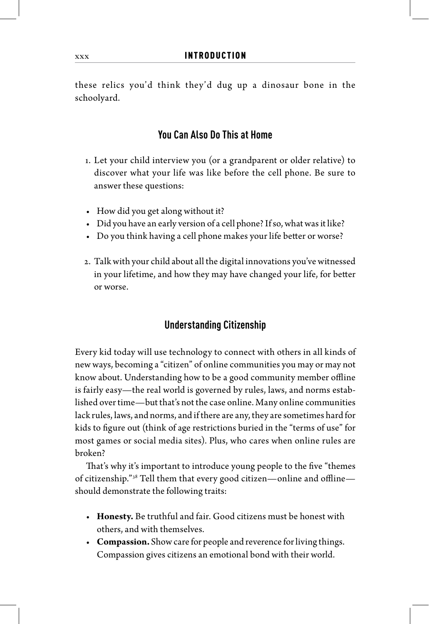these relics you'd think they'd dug up a dinosaur bone in the schoolyard.

#### **You Can Also Do This at Home**

- 1. Let your child interview you (or a grandparent or older relative) to discover what your life was like before the cell phone. Be sure to answer these questions:
- How did you get along without it?
- Did you have an early version of a cell phone? If so, what was it like?
- Do you think having a cell phone makes your life better or worse?
- 2. Talk with your child about all the digital innovations you've witnessed in your lifetime, and how they may have changed your life, for better or worse.

#### **Understanding Citizenship**

Every kid today will use technology to connect with others in all kinds of new ways, becoming a "citizen" of online communities you may or may not know about. Understanding how to be a good community member offline is fairly easy—the real world is governed by rules, laws, and norms established over time—but that's not the case online. Many online communities lack rules, laws, and norms, and if there are any, they are sometimes hard for kids to figure out (think of age restrictions buried in the "terms of use" for most games or social media sites). Plus, who cares when online rules are broken?

That's why it's important to introduce young people to the five "themes of citizenship."38 Tell them that every good citizen—online and offline should demonstrate the following traits:

- **Honesty.** Be truthful and fair. Good citizens must be honest with others, and with themselves.
- **Compassion.** Show care for people and reverence for living things. Compassion gives citizens an emotional bond with their world.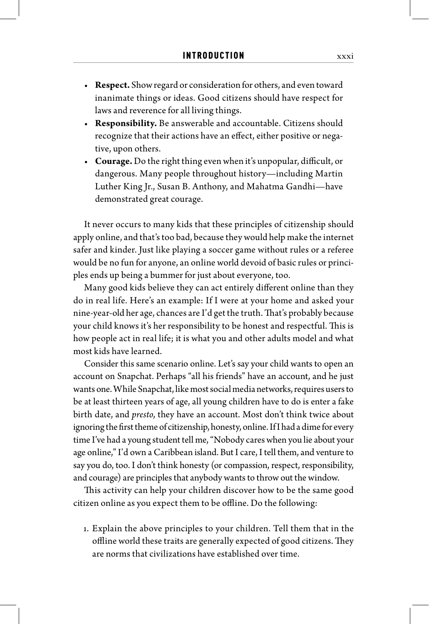- **Respect.** Show regard or consideration for others, and even toward inanimate things or ideas. Good citizens should have respect for laws and reverence for all living things.
- **Responsibility.** Be answerable and accountable. Citizens should recognize that their actions have an effect, either positive or negative, upon others.
- **Courage.** Do the right thing even when it's unpopular, difficult, or dangerous. Many people throughout history—including Martin Luther King Jr., Susan B. Anthony, and Mahatma Gandhi—have demonstrated great courage.

It never occurs to many kids that these principles of citizenship should apply online, and that's too bad, because they would help make the internet safer and kinder. Just like playing a soccer game without rules or a referee would be no fun for anyone, an online world devoid of basic rules or principles ends up being a bummer for just about everyone, too.

Many good kids believe they can act entirely different online than they do in real life. Here's an example: If I were at your home and asked your nine-year-old her age, chances are I'd get the truth. That's probably because your child knows it's her responsibility to be honest and respectful. This is how people act in real life; it is what you and other adults model and what most kids have learned.

Consider this same scenario online. Let's say your child wants to open an account on Snapchat. Perhaps "all his friends" have an account, and he just wants one. While Snapchat, like most social media networks, requires users to be at least thirteen years of age, all young children have to do is enter a fake birth date, and *presto*, they have an account. Most don't think twice about ignoring the first theme of citizenship, honesty, online. If I had a dime for every time I've had a young student tell me, "Nobody cares when you lie about your age online," I'd own a Caribbean island. But I care, I tell them, and venture to say you do, too. I don't think honesty (or compassion, respect, responsibility, and courage) are principles that anybody wants to throw out the window.

This activity can help your children discover how to be the same good citizen online as you expect them to be offline. Do the following:

1. Explain the above principles to your children. Tell them that in the offline world these traits are generally expected of good citizens. They are norms that civilizations have established over time.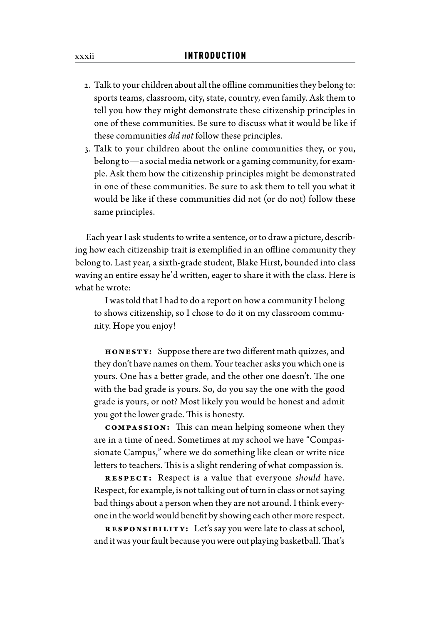- 2. Talk to your children about all the offline communities they belong to: sports teams, classroom, city, state, country, even family. Ask them to tell you how they might demonstrate these citizenship principles in one of these communities. Be sure to discuss what it would be like if these communities *did not* follow these principles.
- 3. Talk to your children about the online communities they, or you, belong to—a social media network or a gaming community, for example. Ask them how the citizenship principles might be demonstrated in one of these communities. Be sure to ask them to tell you what it would be like if these communities did not (or do not) follow these same principles.

Each year I ask students to write a sentence, or to draw a picture, describing how each citizenship trait is exemplified in an offline community they belong to. Last year, a sixth-grade student, Blake Hirst, bounded into class waving an entire essay he'd written, eager to share it with the class. Here is what he wrote:

I was told that I had to do a report on how a community I belong to shows citizenship, so I chose to do it on my classroom community. Hope you enjoy!

**honesty:** Suppose there are two different math quizzes, and they don't have names on them. Your teacher asks you which one is yours. One has a better grade, and the other one doesn't. The one with the bad grade is yours. So, do you say the one with the good grade is yours, or not? Most likely you would be honest and admit you got the lower grade. This is honesty.

**compassion:** This can mean helping someone when they are in a time of need. Sometimes at my school we have "Compassionate Campus," where we do something like clean or write nice letters to teachers. This is a slight rendering of what compassion is.

**respect:** Respect is a value that everyone *should* have. Respect, for example, is not talking out of turn in class or not saying bad things about a person when they are not around. I think everyone in the world would benefit by showing each other more respect.

**responsibility:** Let's say you were late to class at school, and it was your fault because you were out playing basketball. That's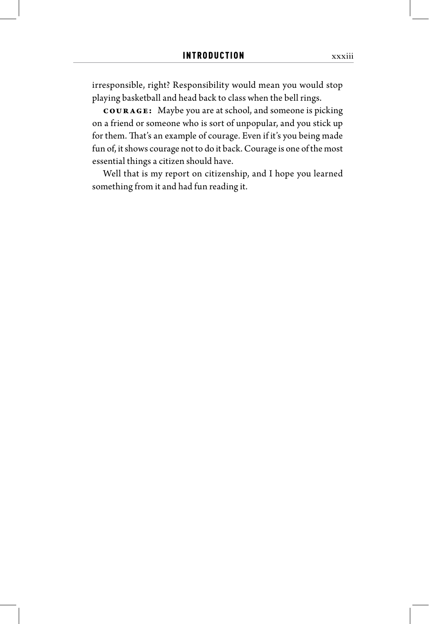irresponsible, right? Responsibility would mean you would stop playing basketball and head back to class when the bell rings.

**courage:** Maybe you are at school, and someone is picking on a friend or someone who is sort of unpopular, and you stick up for them. That's an example of courage. Even if it's you being made fun of, it shows courage not to do it back. Courage is one of the most essential things a citizen should have.

Well that is my report on citizenship, and I hope you learned something from it and had fun reading it.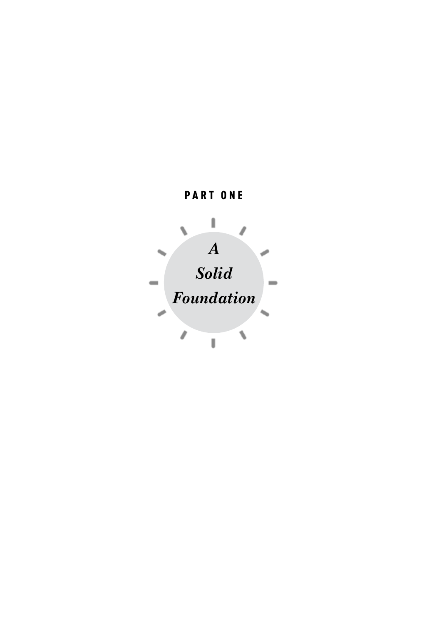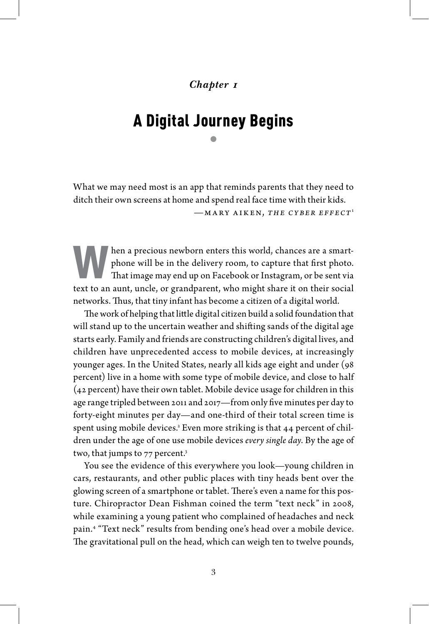# A Digital Journey Begins ●

What we may need most is an app that reminds parents that they need to ditch their own screens at home and spend real face time with their kids. —mary aiken, *the cyber effect* <sup>1</sup>

Men a precious newborn enters this world, chances are a smart-<br>phone will be in the delivery room, to capture that first photo.<br>That image may end up on Facebook or Instagram, or be sent via phone will be in the delivery room, to capture that first photo. That image may end up on Facebook or Instagram, or be sent via text to an aunt, uncle, or grandparent, who might share it on their social networks. Thus, that tiny infant has become a citizen of a digital world.

The work of helping that little digital citizen build a solid foundation that will stand up to the uncertain weather and shifting sands of the digital age starts early. Family and friends are constructing children's digital lives, and children have unprecedented access to mobile devices, at increasingly younger ages. In the United States, nearly all kids age eight and under (98 percent) live in a home with some type of mobile device, and close to half (42 percent) have their own tablet. Mobile device usage for children in this age range tripled between 2011 and 2017—from only five minutes per day to forty-eight minutes per day—and one-third of their total screen time is spent using mobile devices.<sup>2</sup> Even more striking is that 44 percent of children under the age of one use mobile devices *every single day*. By the age of two, that jumps to 77 percent.<sup>3</sup>

You see the evidence of this everywhere you look—young children in cars, restaurants, and other public places with tiny heads bent over the glowing screen of a smartphone or tablet. There's even a name for this posture. Chiropractor Dean Fishman coined the term "text neck" in 2008, while examining a young patient who complained of headaches and neck pain.4 "Text neck" results from bending one's head over a mobile device. The gravitational pull on the head, which can weigh ten to twelve pounds,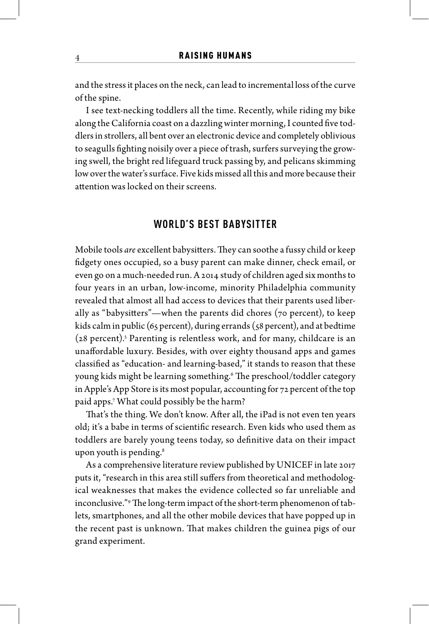and the stress it places on the neck, can lead to incremental loss of the curve of the spine.

I see text-necking toddlers all the time. Recently, while riding my bike along the California coast on a dazzling winter morning, I counted five toddlers in strollers, all bent over an electronic device and completely oblivious to seagulls fighting noisily over a piece of trash, surfers surveying the growing swell, the bright red lifeguard truck passing by, and pelicans skimming low over the water's surface. Five kids missed all this and more because their attention was locked on their screens.

#### **WORLD'S BEST BABYSITTER**

Mobile tools *are* excellent babysitters. They can soothe a fussy child or keep fidgety ones occupied, so a busy parent can make dinner, check email, or even go on a much-needed run. A 2014 study of children aged six months to four years in an urban, low-income, minority Philadelphia community revealed that almost all had access to devices that their parents used liberally as "babysitters"—when the parents did chores (70 percent), to keep kids calm in public (65 percent), during errands (58 percent), and at bedtime (28 percent).<sup>5</sup> Parenting is relentless work, and for many, childcare is an unaffordable luxury. Besides, with over eighty thousand apps and games classified as "education- and learning-based," it stands to reason that these young kids might be learning something.6 The preschool/toddler category in Apple's App Store is its most popular, accounting for 72 percent of the top paid apps.7 What could possibly be the harm?

That's the thing. We don't know. After all, the iPad is not even ten years old; it's a babe in terms of scientific research. Even kids who used them as toddlers are barely young teens today, so definitive data on their impact upon youth is pending.<sup>8</sup>

As a comprehensive literature review published by UNICEF in late 2017 puts it, "research in this area still suffers from theoretical and methodological weaknesses that makes the evidence collected so far unreliable and inconclusive."9 The long-term impact of the short-term phenomenon of tablets, smartphones, and all the other mobile devices that have popped up in the recent past is unknown. That makes children the guinea pigs of our grand experiment.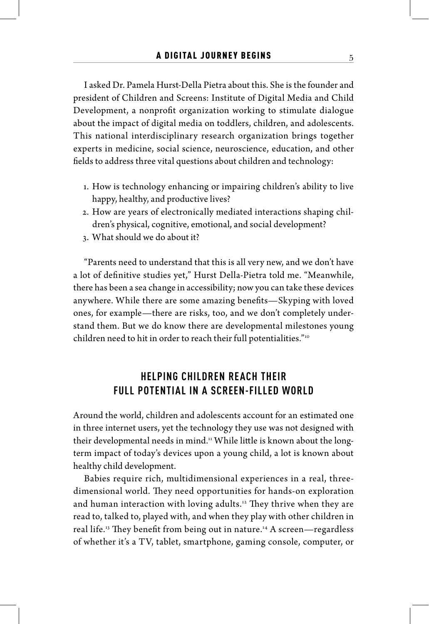I asked Dr. Pamela Hurst-Della Pietra about this. She is the founder and president of Children and Screens: Institute of Digital Media and Child Development, a nonprofit organization working to stimulate dialogue about the impact of digital media on toddlers, children, and adolescents. This national interdisciplinary research organization brings together experts in medicine, social science, neuroscience, education, and other fields to address three vital questions about children and technology:

- 1. How is technology enhancing or impairing children's ability to live happy, healthy, and productive lives?
- 2. How are years of electronically mediated interactions shaping children's physical, cognitive, emotional, and social development?
- 3. What should we do about it?

"Parents need to understand that this is all very new, and we don't have a lot of definitive studies yet," Hurst Della-Pietra told me. "Meanwhile, there has been a sea change in accessibility; now you can take these devices anywhere. While there are some amazing benefits—Skyping with loved ones, for example—there are risks, too, and we don't completely understand them. But we do know there are developmental milestones young children need to hit in order to reach their full potentialities."<sup>10</sup>

#### **HELPING CHILDREN REACH THEIR FULL POTENTIAL IN A SCREEN-FILLED WORLD**

Around the world, children and adolescents account for an estimated one in three internet users, yet the technology they use was not designed with their developmental needs in mind.<sup>11</sup> While little is known about the longterm impact of today's devices upon a young child, a lot is known about healthy child development.

Babies require rich, multidimensional experiences in a real, threedimensional world. They need opportunities for hands-on exploration and human interaction with loving adults.<sup>12</sup> They thrive when they are read to, talked to, played with, and when they play with other children in real life.<sup>13</sup> They benefit from being out in nature.<sup>14</sup> A screen—regardless of whether it's a TV, tablet, smartphone, gaming console, computer, or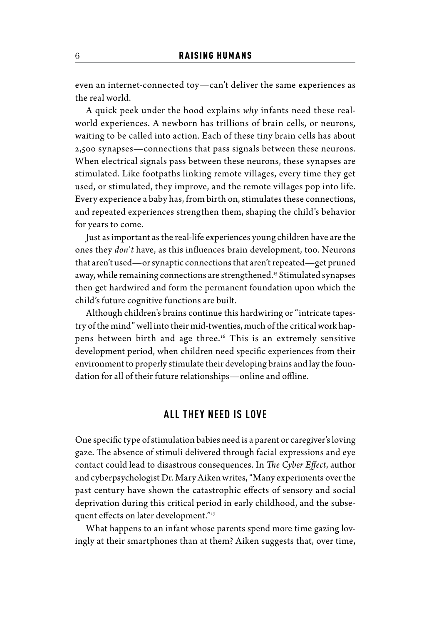even an internet-connected toy—can't deliver the same experiences as the real world.

A quick peek under the hood explains *why* infants need these realworld experiences. A newborn has trillions of brain cells, or neurons, waiting to be called into action. Each of these tiny brain cells has about 2,500 synapses—connections that pass signals between these neurons. When electrical signals pass between these neurons, these synapses are stimulated. Like footpaths linking remote villages, every time they get used, or stimulated, they improve, and the remote villages pop into life. Every experience a baby has, from birth on, stimulates these connections, and repeated experiences strengthen them, shaping the child's behavior for years to come.

Just as important as the real-life experiences young children have are the ones they *don't* have, as this influences brain development, too. Neurons that aren't used—or synaptic connections that aren't repeated—get pruned away, while remaining connections are strengthened.<sup>15</sup> Stimulated synapses then get hardwired and form the permanent foundation upon which the child's future cognitive functions are built.

Although children's brains continue this hardwiring or "intricate tapestry of the mind" well into their mid-twenties, much of the critical work happens between birth and age three.<sup>16</sup> This is an extremely sensitive development period, when children need specific experiences from their environment to properly stimulate their developing brains and lay the foundation for all of their future relationships—online and offline.

#### **ALL THEY NEED IS LOVE**

One specific type of stimulation babies need is a parent or caregiver's loving gaze. The absence of stimuli delivered through facial expressions and eye contact could lead to disastrous consequences. In *The Cyber Effect*, author and cyberpsychologist Dr. Mary Aiken writes, "Many experiments over the past century have shown the catastrophic effects of sensory and social deprivation during this critical period in early childhood, and the subsequent effects on later development."17

What happens to an infant whose parents spend more time gazing lovingly at their smartphones than at them? Aiken suggests that, over time,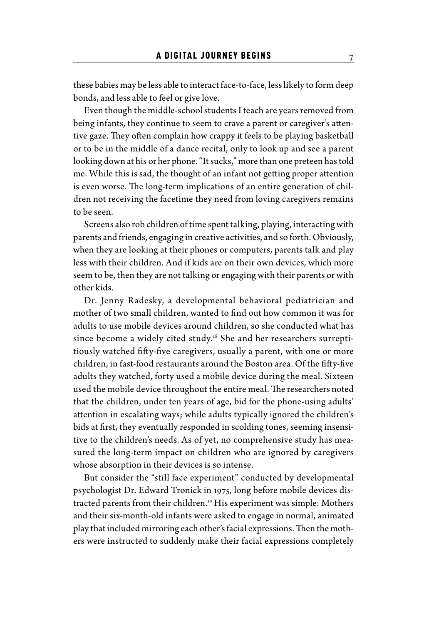these babies may be less able to interact face-to-face, less likely to form deep bonds, and less able to feel or give love.

Even though the middle-school students I teach are years removed from being infants, they continue to seem to crave a parent or caregiver's attentive gaze. They often complain how crappy it feels to be playing basketball or to be in the middle of a dance recital, only to look up and see a parent looking down at his or her phone. "It sucks," more than one preteen has told me. While this is sad, the thought of an infant not getting proper attention is even worse. The long-term implications of an entire generation of children not receiving the facetime they need from loving caregivers remains to be seen.

Screens also rob children of time spent talking, playing, interacting with parents and friends, engaging in creative activities, and so forth. Obviously, when they are looking at their phones or computers, parents talk and play less with their children. And if kids are on their own devices, which more seem to be, then they are not talking or engaging with their parents or with other kids.

Dr. Jenny Radesky, a developmental behavioral pediatrician and mother of two small children, wanted to find out how common it was for adults to use mobile devices around children, so she conducted what has since become a widely cited study.<sup>18</sup> She and her researchers surreptitiously watched fifty-five caregivers, usually a parent, with one or more children, in fast-food restaurants around the Boston area. Of the fifty-five adults they watched, forty used a mobile device during the meal. Sixteen used the mobile device throughout the entire meal. The researchers noted that the children, under ten years of age, bid for the phone-using adults' attention in escalating ways; while adults typically ignored the children's bids at first, they eventually responded in scolding tones, seeming insensitive to the children's needs. As of yet, no comprehensive study has measured the long-term impact on children who are ignored by caregivers whose absorption in their devices is so intense.

But consider the "still face experiment" conducted by developmental psychologist Dr. Edward Tronick in 1975, long before mobile devices distracted parents from their children.<sup>19</sup> His experiment was simple: Mothers and their six-month-old infants were asked to engage in normal, animated play that included mirroring each other's facial expressions. Then the mothers were instructed to suddenly make their facial expressions completely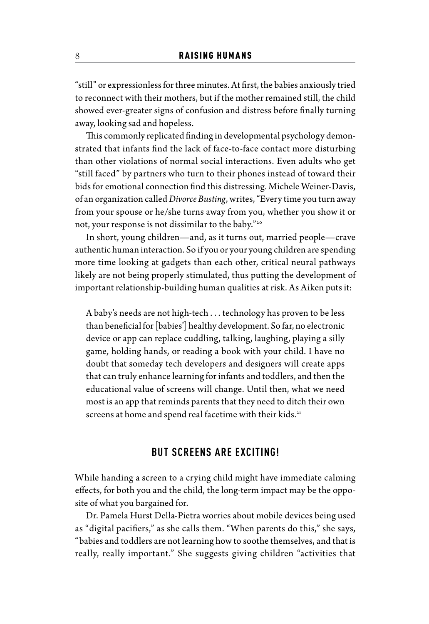"still" or expressionless for three minutes. At first, the babies anxiously tried to reconnect with their mothers, but if the mother remained still, the child showed ever-greater signs of confusion and distress before finally turning away, looking sad and hopeless.

This commonly replicated finding in developmental psychology demonstrated that infants find the lack of face-to-face contact more disturbing than other violations of normal social interactions. Even adults who get "still faced" by partners who turn to their phones instead of toward their bids for emotional connection find this distressing. Michele Weiner-Davis, of an organization called *Divorce Busting*, writes, "Every time you turn away from your spouse or he/she turns away from you, whether you show it or not, your response is not dissimilar to the baby."20

In short, young children—and, as it turns out, married people—crave authentic human interaction. So if you or your young children are spending more time looking at gadgets than each other, critical neural pathways likely are not being properly stimulated, thus putting the development of important relationship-building human qualities at risk. As Aiken puts it:

A baby's needs are not high-tech . . . technology has proven to be less than beneficial for [babies'] healthy development. So far, no electronic device or app can replace cuddling, talking, laughing, playing a silly game, holding hands, or reading a book with your child. I have no doubt that someday tech developers and designers will create apps that can truly enhance learning for infants and toddlers, and then the educational value of screens will change. Until then, what we need most is an app that reminds parents that they need to ditch their own screens at home and spend real facetime with their kids.<sup>21</sup>

#### **BUT SCREENS ARE EXCITING!**

While handing a screen to a crying child might have immediate calming effects, for both you and the child, the long-term impact may be the opposite of what you bargained for.

Dr. Pamela Hurst Della-Pietra worries about mobile devices being used as "digital pacifiers," as she calls them. "When parents do this," she says, "babies and toddlers are not learning how to soothe themselves, and that is really, really important." She suggests giving children "activities that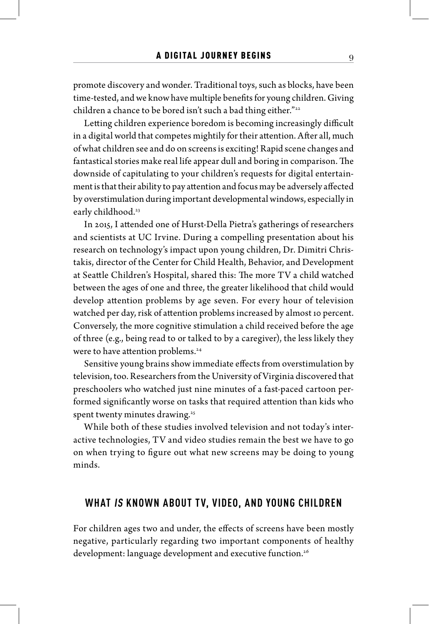promote discovery and wonder. Traditional toys, such as blocks, have been time-tested, and we know have multiple benefits for young children. Giving children a chance to be bored isn't such a bad thing either."<sup>22</sup>

Letting children experience boredom is becoming increasingly difficult in a digital world that competes mightily for their attention. After all, much of what children see and do on screens is exciting! Rapid scene changes and fantastical stories make real life appear dull and boring in comparison. The downside of capitulating to your children's requests for digital entertainment is that their ability to pay attention and focus may be adversely affected by overstimulation during important developmental windows, especially in early childhood.<sup>23</sup>

In 2015, I attended one of Hurst-Della Pietra's gatherings of researchers and scientists at UC Irvine. During a compelling presentation about his research on technology's impact upon young children, Dr. Dimitri Christakis, director of the Center for Child Health, Behavior, and Development at Seattle Children's Hospital, shared this: The more TV a child watched between the ages of one and three, the greater likelihood that child would develop attention problems by age seven. For every hour of television watched per day, risk of attention problems increased by almost 10 percent. Conversely, the more cognitive stimulation a child received before the age of three (e.g., being read to or talked to by a caregiver), the less likely they were to have attention problems.<sup>24</sup>

Sensitive young brains show immediate effects from overstimulation by television, too. Researchers from the University of Virginia discovered that preschoolers who watched just nine minutes of a fast-paced cartoon performed significantly worse on tasks that required attention than kids who spent twenty minutes drawing.<sup>25</sup>

While both of these studies involved television and not today's interactive technologies, TV and video studies remain the best we have to go on when trying to figure out what new screens may be doing to young minds.

#### **WHAT IS KNOWN ABOUT TV, VIDEO, AND YOUNG CHILDREN**

For children ages two and under, the effects of screens have been mostly negative, particularly regarding two important components of healthy development: language development and executive function.<sup>26</sup>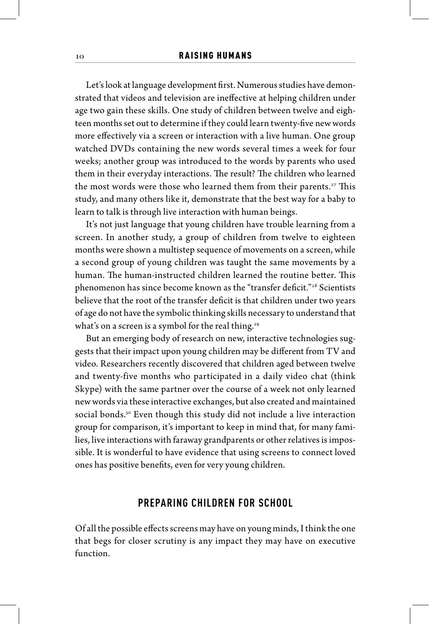Let's look at language development first. Numerous studies have demonstrated that videos and television are ineffective at helping children under age two gain these skills. One study of children between twelve and eighteen months set out to determine if they could learn twenty-five new words more effectively via a screen or interaction with a live human. One group watched DVDs containing the new words several times a week for four weeks; another group was introduced to the words by parents who used them in their everyday interactions. The result? The children who learned the most words were those who learned them from their parents.<sup>27</sup> This study, and many others like it, demonstrate that the best way for a baby to learn to talk is through live interaction with human beings.

It's not just language that young children have trouble learning from a screen. In another study, a group of children from twelve to eighteen months were shown a multistep sequence of movements on a screen, while a second group of young children was taught the same movements by a human. The human-instructed children learned the routine better. This phenomenon has since become known as the "transfer deficit."<sup>28</sup> Scientists believe that the root of the transfer deficit is that children under two years of age do not have the symbolic thinking skills necessary to understand that what's on a screen is a symbol for the real thing.<sup>29</sup>

But an emerging body of research on new, interactive technologies suggests that their impact upon young children may be different from TV and video. Researchers recently discovered that children aged between twelve and twenty-five months who participated in a daily video chat (think Skype) with the same partner over the course of a week not only learned new words via these interactive exchanges, but also created and maintained social bonds.<sup>30</sup> Even though this study did not include a live interaction group for comparison, it's important to keep in mind that, for many families, live interactions with faraway grandparents or other relatives is impossible. It is wonderful to have evidence that using screens to connect loved ones has positive benefits, even for very young children.

#### **PREPARING CHILDREN FOR SCHOOL**

Of all the possible effects screens may have on young minds, I think the one that begs for closer scrutiny is any impact they may have on executive function.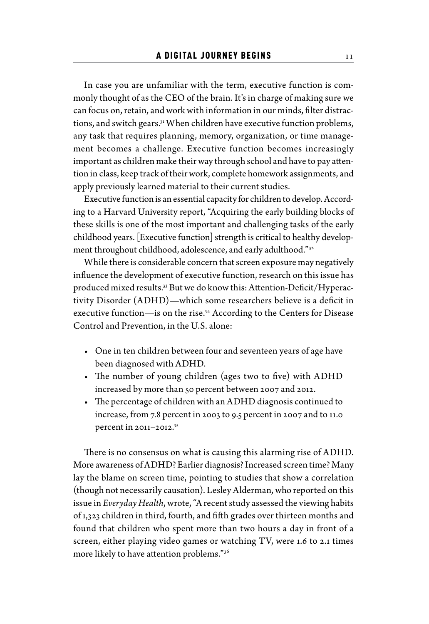In case you are unfamiliar with the term, executive function is commonly thought of as the CEO of the brain. It's in charge of making sure we can focus on, retain, and work with information in our minds, filter distractions, and switch gears.31 When children have executive function problems, any task that requires planning, memory, organization, or time management becomes a challenge. Executive function becomes increasingly important as children make their way through school and have to pay attention in class, keep track of their work, complete homework assignments, and apply previously learned material to their current studies.

Executive function is an essential capacity for children to develop. According to a Harvard University report, "Acquiring the early building blocks of these skills is one of the most important and challenging tasks of the early childhood years. [Executive function] strength is critical to healthy development throughout childhood, adolescence, and early adulthood."32

While there is considerable concern that screen exposure may negatively influence the development of executive function, research on this issue has produced mixed results.33 But we do know this: Attention-Deficit/Hyperactivity Disorder (ADHD)—which some researchers believe is a deficit in executive function—is on the rise.34 According to the Centers for Disease Control and Prevention, in the U.S. alone:

- One in ten children between four and seventeen years of age have been diagnosed with ADHD.
- The number of young children (ages two to five) with ADHD increased by more than 50 percent between 2007 and 2012.
- The percentage of children with an ADHD diagnosis continued to increase, from 7.8 percent in 2003 to 9.5 percent in 2007 and to 11.0 percent in 2011–2012.35

There is no consensus on what is causing this alarming rise of ADHD. More awareness of ADHD? Earlier diagnosis? Increased screen time? Many lay the blame on screen time, pointing to studies that show a correlation (though not necessarily causation). Lesley Alderman, who reported on this issue in *Everyday Health*, wrote, "A recent study assessed the viewing habits of 1,323 children in third, fourth, and fifth grades over thirteen months and found that children who spent more than two hours a day in front of a screen, either playing video games or watching TV, were 1.6 to 2.1 times more likely to have attention problems."36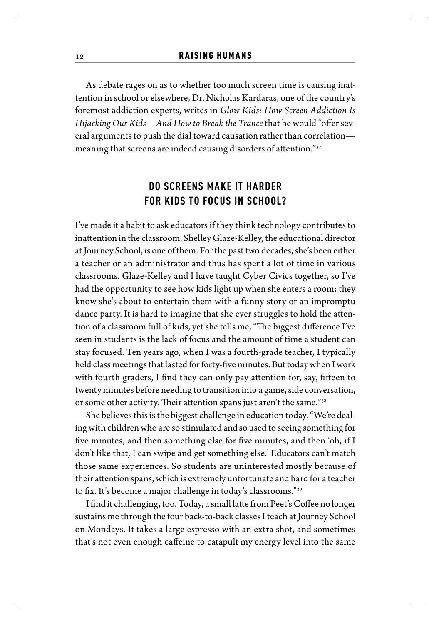As debate rages on as to whether too much screen time is causing inattention in school or elsewhere, Dr. Nicholas Kardaras, one of the country's foremost addiction experts, writes in *Glow Kids: How Screen Addiction Is Hijacking Our Kids—And How to Break the Trance* that he would "offer several arguments to push the dial toward causation rather than correlation meaning that screens are indeed causing disorders of attention."37

#### **DO SCREENS MAKE IT HARDER FOR KIDS TO FOCUS IN SCHOOL?**

I've made it a habit to ask educators if they think technology contributes to inattention in the classroom. Shelley Glaze-Kelley, the educational director at Journey School, is one of them. For the past two decades, she's been either a teacher or an administrator and thus has spent a lot of time in various classrooms. Glaze-Kelley and I have taught Cyber Civics together, so I've had the opportunity to see how kids light up when she enters a room; they know she's about to entertain them with a funny story or an impromptu dance party. It is hard to imagine that she ever struggles to hold the attention of a classroom full of kids, yet she tells me, "The biggest difference I've seen in students is the lack of focus and the amount of time a student can stay focused. Ten years ago, when I was a fourth-grade teacher, I typically held class meetings that lasted for forty-five minutes. But today when I work with fourth graders, I find they can only pay attention for, say, fifteen to twenty minutes before needing to transition into a game, side conversation, or some other activity. Their attention spans just aren't the same."38

She believes this is the biggest challenge in education today. "We're dealing with children who are so stimulated and so used to seeing something for five minutes, and then something else for five minutes, and then 'oh, if I don't like that, I can swipe and get something else.' Educators can't match those same experiences. So students are uninterested mostly because of their attention spans, which is extremely unfortunate and hard for a teacher to fix. It's become a major challenge in today's classrooms."39

I find it challenging, too. Today, a small latte from Peet's Coffee no longer sustains me through the four back-to-back classes I teach at Journey School on Mondays. It takes a large espresso with an extra shot, and sometimes that's not even enough caffeine to catapult my energy level into the same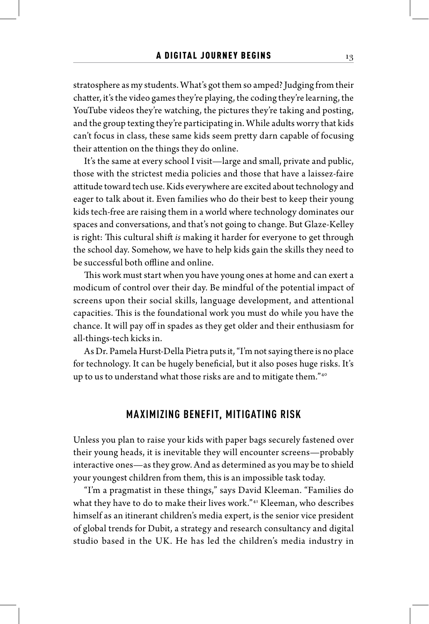stratosphere as my students. What's got them so amped? Judging from their chatter, it's the video games they're playing, the coding they're learning, the YouTube videos they're watching, the pictures they're taking and posting, and the group texting they're participating in. While adults worry that kids can't focus in class, these same kids seem pretty darn capable of focusing their attention on the things they do online.

It's the same at every school I visit—large and small, private and public, those with the strictest media policies and those that have a laissez-faire attitude toward tech use. Kids everywhere are excited about technology and eager to talk about it. Even families who do their best to keep their young kids tech-free are raising them in a world where technology dominates our spaces and conversations, and that's not going to change. But Glaze-Kelley is right: This cultural shift *is* making it harder for everyone to get through the school day. Somehow, we have to help kids gain the skills they need to be successful both offline and online.

This work must start when you have young ones at home and can exert a modicum of control over their day. Be mindful of the potential impact of screens upon their social skills, language development, and attentional capacities. This is the foundational work you must do while you have the chance. It will pay off in spades as they get older and their enthusiasm for all-things-tech kicks in.

As Dr. Pamela Hurst-Della Pietra puts it, "I'm not saying there is no place for technology. It can be hugely beneficial, but it also poses huge risks. It's up to us to understand what those risks are and to mitigate them."<sup>40</sup>

#### **MAXIMIZING BENEFIT, MITIGATING RISK**

Unless you plan to raise your kids with paper bags securely fastened over their young heads, it is inevitable they will encounter screens—probably interactive ones—as they grow. And as determined as you may be to shield your youngest children from them, this is an impossible task today.

"I'm a pragmatist in these things," says David Kleeman. "Families do what they have to do to make their lives work."<sup>41</sup> Kleeman, who describes himself as an itinerant children's media expert, is the senior vice president of global trends for Dubit, a strategy and research consultancy and digital studio based in the UK. He has led the children's media industry in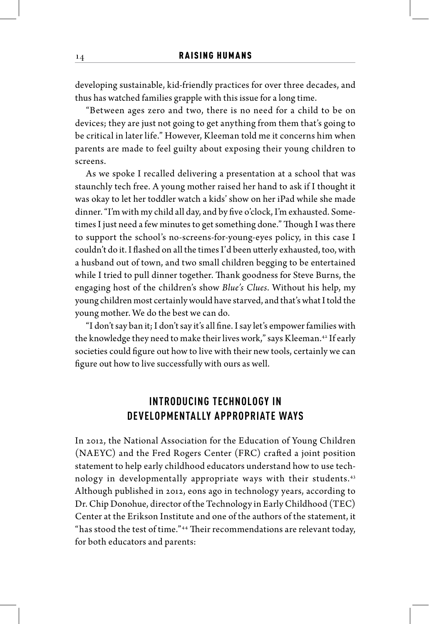developing sustainable, kid-friendly practices for over three decades, and thus has watched families grapple with this issue for a long time.

"Between ages zero and two, there is no need for a child to be on devices; they are just not going to get anything from them that's going to be critical in later life." However, Kleeman told me it concerns him when parents are made to feel guilty about exposing their young children to screens.

As we spoke I recalled delivering a presentation at a school that was staunchly tech free. A young mother raised her hand to ask if I thought it was okay to let her toddler watch a kids' show on her iPad while she made dinner. "I'm with my child all day, and by five o'clock, I'm exhausted. Sometimes I just need a few minutes to get something done." Though I was there to support the school's no-screens-for-young-eyes policy, in this case I couldn't do it. I flashed on all the times I'd been utterly exhausted, too, with a husband out of town, and two small children begging to be entertained while I tried to pull dinner together. Thank goodness for Steve Burns, the engaging host of the children's show *Blue's Clues*. Without his help, my young children most certainly would have starved, and that's what I told the young mother. We do the best we can do.

"I don't say ban it; I don't say it's all fine. I say let's empower families with the knowledge they need to make their lives work," says Kleeman.42 If early societies could figure out how to live with their new tools, certainly we can figure out how to live successfully with ours as well.

#### **INTRODUCING TECHNOLOGY IN DEVELOPMENTALLY APPROPRIATE WAYS**

In 2012, the National Association for the Education of Young Children (NAEYC) and the Fred Rogers Center (FRC) crafted a joint position statement to help early childhood educators understand how to use technology in developmentally appropriate ways with their students.43 Although published in 2012, eons ago in technology years, according to Dr. Chip Donohue, director of the Technology in Early Childhood (TEC) Center at the Erikson Institute and one of the authors of the statement, it "has stood the test of time."44 Their recommendations are relevant today, for both educators and parents: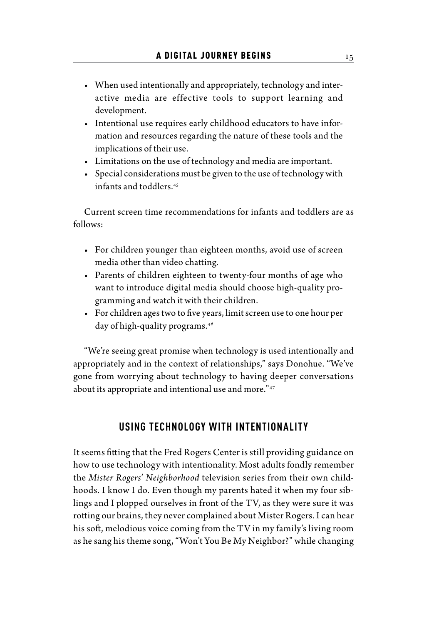- When used intentionally and appropriately, technology and interactive media are effective tools to support learning and development.
- Intentional use requires early childhood educators to have information and resources regarding the nature of these tools and the implications of their use.
- Limitations on the use of technology and media are important.
- Special considerations must be given to the use of technology with infants and toddlers.45

Current screen time recommendations for infants and toddlers are as follows:

- For children younger than eighteen months, avoid use of screen media other than video chatting.
- Parents of children eighteen to twenty-four months of age who want to introduce digital media should choose high-quality programming and watch it with their children.
- For children ages two to five years, limit screen use to one hour per day of high-quality programs.<sup>46</sup>

"We're seeing great promise when technology is used intentionally and appropriately and in the context of relationships," says Donohue. "We've gone from worrying about technology to having deeper conversations about its appropriate and intentional use and more."47

#### **USING TECHNOLOGY WITH INTENTIONALITY**

It seems fitting that the Fred Rogers Center is still providing guidance on how to use technology with intentionality. Most adults fondly remember the *Mister Rogers' Neighborhood* television series from their own childhoods. I know I do. Even though my parents hated it when my four siblings and I plopped ourselves in front of the TV, as they were sure it was rotting our brains, they never complained about Mister Rogers. I can hear his soft, melodious voice coming from the TV in my family's living room as he sang his theme song, "Won't You Be My Neighbor?" while changing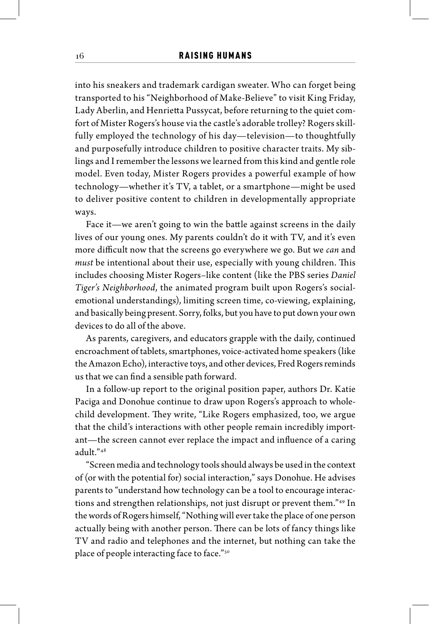into his sneakers and trademark cardigan sweater. Who can forget being transported to his "Neighborhood of Make-Believe" to visit King Friday, Lady Aberlin, and Henrietta Pussycat, before returning to the quiet comfort of Mister Rogers's house via the castle's adorable trolley? Rogers skillfully employed the technology of his day—television—to thoughtfully and purposefully introduce children to positive character traits. My siblings and I remember the lessons we learned from this kind and gentle role model. Even today, Mister Rogers provides a powerful example of how technology—whether it's TV, a tablet, or a smartphone—might be used to deliver positive content to children in developmentally appropriate ways.

Face it—we aren't going to win the battle against screens in the daily lives of our young ones. My parents couldn't do it with TV, and it's even more difficult now that the screens go everywhere we go. But we *can* and *must* be intentional about their use, especially with young children. This includes choosing Mister Rogers–like content (like the PBS series *Daniel Tiger's Neighborhood*, the animated program built upon Rogers's socialemotional understandings), limiting screen time, co-viewing, explaining, and basically being present. Sorry, folks, but you have to put down your own devices to do all of the above.

As parents, caregivers, and educators grapple with the daily, continued encroachment of tablets, smartphones, voice-activated home speakers (like the Amazon Echo), interactive toys, and other devices, Fred Rogers reminds us that we can find a sensible path forward.

In a follow-up report to the original position paper, authors Dr. Katie Paciga and Donohue continue to draw upon Rogers's approach to wholechild development. They write, "Like Rogers emphasized, too, we argue that the child's interactions with other people remain incredibly important—the screen cannot ever replace the impact and influence of a caring adult."48

"Screen media and technology tools should always be used in the context of (or with the potential for) social interaction," says Donohue. He advises parents to "understand how technology can be a tool to encourage interactions and strengthen relationships, not just disrupt or prevent them."49 In the words of Rogers himself, "Nothing will ever take the place of one person actually being with another person. There can be lots of fancy things like TV and radio and telephones and the internet, but nothing can take the place of people interacting face to face."50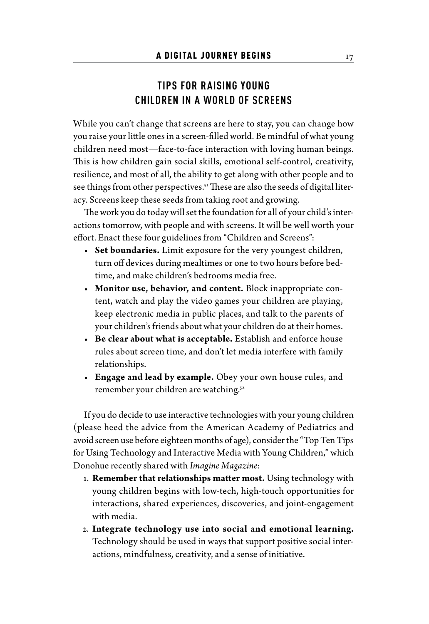#### **TIPS FOR R AISING YOUNG CHILDREN IN A WORLD OF SCREENS**

While you can't change that screens are here to stay, you can change how you raise your little ones in a screen-filled world. Be mindful of what young children need most—face-to-face interaction with loving human beings. This is how children gain social skills, emotional self-control, creativity, resilience, and most of all, the ability to get along with other people and to see things from other perspectives.<sup>51</sup> These are also the seeds of digital literacy. Screens keep these seeds from taking root and growing.

The work you do today will set the foundation for all of your child's interactions tomorrow, with people and with screens. It will be well worth your effort. Enact these four guidelines from "Children and Screens":

- **Set boundaries.** Limit exposure for the very youngest children, turn off devices during mealtimes or one to two hours before bedtime, and make children's bedrooms media free.
- **Monitor use, behavior, and content.** Block inappropriate content, watch and play the video games your children are playing, keep electronic media in public places, and talk to the parents of your children's friends about what your children do at their homes.
- **Be clear about what is acceptable.** Establish and enforce house rules about screen time, and don't let media interfere with family relationships.
- **Engage and lead by example.** Obey your own house rules, and remember your children are watching.52

If you do decide to use interactive technologies with your young children (please heed the advice from the American Academy of Pediatrics and avoid screen use before eighteen months of age), consider the "Top Ten Tips for Using Technology and Interactive Media with Young Children," which Donohue recently shared with *Imagine Magazine*:

- 1. **Remember that relationships matter most.** Using technology with young children begins with low-tech, high-touch opportunities for interactions, shared experiences, discoveries, and joint-engagement with media.
- 2. **Integrate technology use into social and emotional learning.** Technology should be used in ways that support positive social interactions, mindfulness, creativity, and a sense of initiative.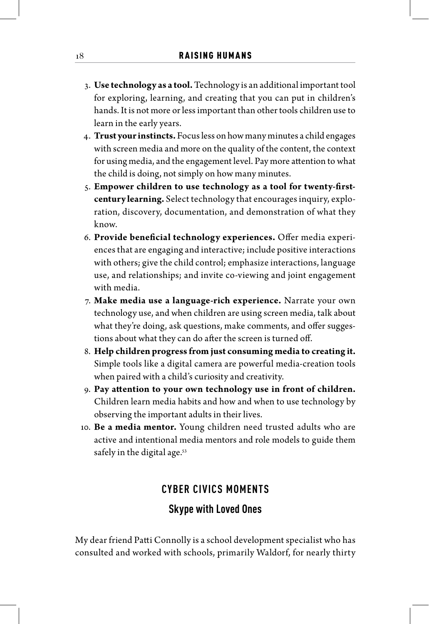- 3. **Use technology as a tool.** Technology is an additional important tool for exploring, learning, and creating that you can put in children's hands. It is not more or less important than other tools children use to learn in the early years.
- 4. **Trust your instincts.** Focus less on how many minutes a child engages with screen media and more on the quality of the content, the context for using media, and the engagement level. Pay more attention to what the child is doing, not simply on how many minutes.
- 5. **Empower children to use technology as a tool for twenty-firstcentury learning.** Select technology that encourages inquiry, exploration, discovery, documentation, and demonstration of what they know.
- 6. **Provide beneficial technology experiences.** Offer media experiences that are engaging and interactive; include positive interactions with others; give the child control; emphasize interactions, language use, and relationships; and invite co-viewing and joint engagement with media.
- 7. **Make media use a language-rich experience.** Narrate your own technology use, and when children are using screen media, talk about what they're doing, ask questions, make comments, and offer suggestions about what they can do after the screen is turned off.
- 8. **Help children progress from just consuming media to creating it.** Simple tools like a digital camera are powerful media-creation tools when paired with a child's curiosity and creativity.
- 9. **Pay attention to your own technology use in front of children.** Children learn media habits and how and when to use technology by observing the important adults in their lives.
- 10. **Be a media mentor.** Young children need trusted adults who are active and intentional media mentors and role models to guide them safely in the digital age.<sup>53</sup>

#### **CYBER CIVICS MOMENTS**

#### **Skype with Loved Ones**

My dear friend Patti Connolly is a school development specialist who has consulted and worked with schools, primarily Waldorf, for nearly thirty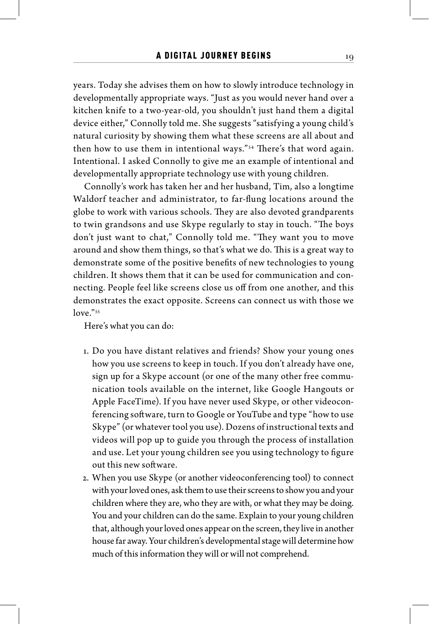years. Today she advises them on how to slowly introduce technology in developmentally appropriate ways. "Just as you would never hand over a kitchen knife to a two-year-old, you shouldn't just hand them a digital device either," Connolly told me. She suggests "satisfying a young child's natural curiosity by showing them what these screens are all about and then how to use them in intentional ways."54 There's that word again. Intentional. I asked Connolly to give me an example of intentional and developmentally appropriate technology use with young children.

Connolly's work has taken her and her husband, Tim, also a longtime Waldorf teacher and administrator, to far-flung locations around the globe to work with various schools. They are also devoted grandparents to twin grandsons and use Skype regularly to stay in touch. "The boys don't just want to chat," Connolly told me. "They want you to move around and show them things, so that's what we do. This is a great way to demonstrate some of the positive benefits of new technologies to young children. It shows them that it can be used for communication and connecting. People feel like screens close us off from one another, and this demonstrates the exact opposite. Screens can connect us with those we love."<sup>55</sup>

Here's what you can do:

- 1. Do you have distant relatives and friends? Show your young ones how you use screens to keep in touch. If you don't already have one, sign up for a Skype account (or one of the many other free communication tools available on the internet, like Google Hangouts or Apple FaceTime). If you have never used Skype, or other videoconferencing software, turn to Google or YouTube and type "how to use Skype" (or whatever tool you use). Dozens of instructional texts and videos will pop up to guide you through the process of installation and use. Let your young children see you using technology to figure out this new software.
- 2. When you use Skype (or another videoconferencing tool) to connect with your loved ones, ask them to use their screens to show you and your children where they are, who they are with, or what they may be doing. You and your children can do the same. Explain to your young children that, although your loved ones appear on the screen, they live in another house far away. Your children's developmental stage will determine how much of this information they will or will not comprehend.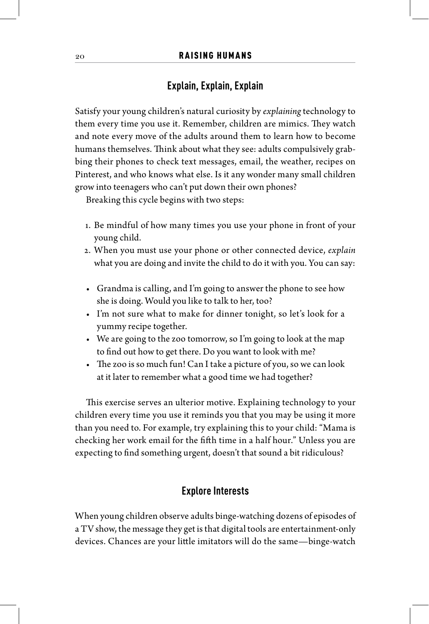#### **Explain, Explain, Explain**

Satisfy your young children's natural curiosity by *explaining* technology to them every time you use it. Remember, children are mimics. They watch and note every move of the adults around them to learn how to become humans themselves. Think about what they see: adults compulsively grabbing their phones to check text messages, email, the weather, recipes on Pinterest, and who knows what else. Is it any wonder many small children grow into teenagers who can't put down their own phones?

Breaking this cycle begins with two steps:

- 1. Be mindful of how many times you use your phone in front of your young child.
- 2. When you must use your phone or other connected device, *explain* what you are doing and invite the child to do it with you. You can say:
- Grandma is calling, and I'm going to answer the phone to see how she is doing. Would you like to talk to her, too?
- I'm not sure what to make for dinner tonight, so let's look for a yummy recipe together.
- We are going to the zoo tomorrow, so I'm going to look at the map to find out how to get there. Do you want to look with me?
- The zoo is so much fun! Can I take a picture of you, so we can look at it later to remember what a good time we had together?

This exercise serves an ulterior motive. Explaining technology to your children every time you use it reminds you that you may be using it more than you need to. For example, try explaining this to your child: "Mama is checking her work email for the fifth time in a half hour." Unless you are expecting to find something urgent, doesn't that sound a bit ridiculous?

#### **Explore Interests**

When young children observe adults binge-watching dozens of episodes of a TV show, the message they get is that digital tools are entertainment-only devices. Chances are your little imitators will do the same—binge-watch